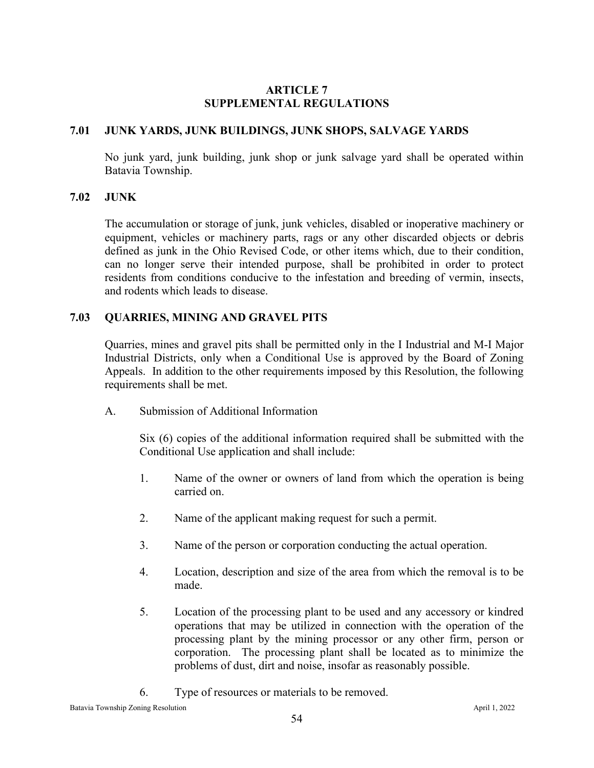#### **ARTICLE 7 SUPPLEMENTAL REGULATIONS**

#### **7.01 JUNK YARDS, JUNK BUILDINGS, JUNK SHOPS, SALVAGE YARDS**

No junk yard, junk building, junk shop or junk salvage yard shall be operated within Batavia Township.

#### **7.02 JUNK**

The accumulation or storage of junk, junk vehicles, disabled or inoperative machinery or equipment, vehicles or machinery parts, rags or any other discarded objects or debris defined as junk in the Ohio Revised Code, or other items which, due to their condition, can no longer serve their intended purpose, shall be prohibited in order to protect residents from conditions conducive to the infestation and breeding of vermin, insects, and rodents which leads to disease.

#### **7.03 QUARRIES, MINING AND GRAVEL PITS**

Quarries, mines and gravel pits shall be permitted only in the I Industrial and M-I Major Industrial Districts, only when a Conditional Use is approved by the Board of Zoning Appeals. In addition to the other requirements imposed by this Resolution, the following requirements shall be met.

A. Submission of Additional Information

Six (6) copies of the additional information required shall be submitted with the Conditional Use application and shall include:

- 1. Name of the owner or owners of land from which the operation is being carried on.
- 2. Name of the applicant making request for such a permit.
- 3. Name of the person or corporation conducting the actual operation.
- 4. Location, description and size of the area from which the removal is to be made.
- 5. Location of the processing plant to be used and any accessory or kindred operations that may be utilized in connection with the operation of the processing plant by the mining processor or any other firm, person or corporation. The processing plant shall be located as to minimize the problems of dust, dirt and noise, insofar as reasonably possible.
- 6. Type of resources or materials to be removed.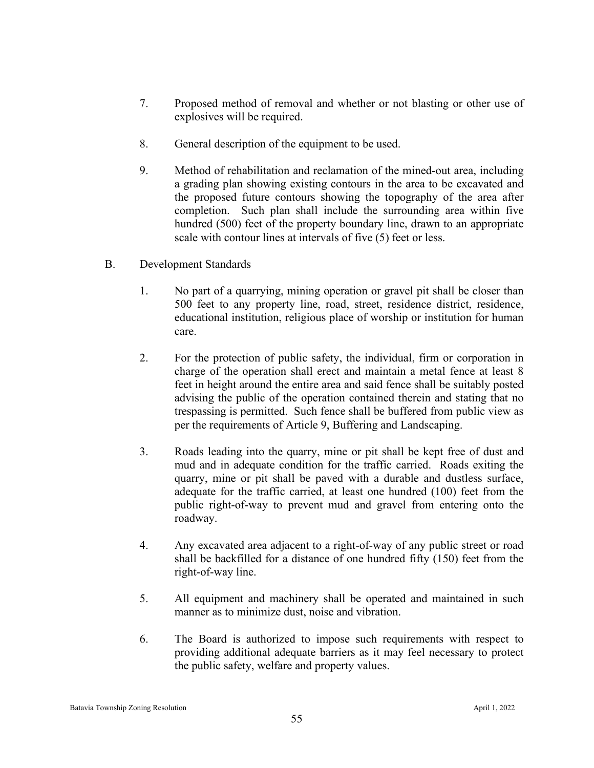- 7. Proposed method of removal and whether or not blasting or other use of explosives will be required.
- 8. General description of the equipment to be used.
- 9. Method of rehabilitation and reclamation of the mined-out area, including a grading plan showing existing contours in the area to be excavated and the proposed future contours showing the topography of the area after completion. Such plan shall include the surrounding area within five hundred (500) feet of the property boundary line, drawn to an appropriate scale with contour lines at intervals of five (5) feet or less.
- B. Development Standards
	- 1. No part of a quarrying, mining operation or gravel pit shall be closer than 500 feet to any property line, road, street, residence district, residence, educational institution, religious place of worship or institution for human care.
	- 2. For the protection of public safety, the individual, firm or corporation in charge of the operation shall erect and maintain a metal fence at least 8 feet in height around the entire area and said fence shall be suitably posted advising the public of the operation contained therein and stating that no trespassing is permitted. Such fence shall be buffered from public view as per the requirements of Article 9, Buffering and Landscaping.
	- 3. Roads leading into the quarry, mine or pit shall be kept free of dust and mud and in adequate condition for the traffic carried. Roads exiting the quarry, mine or pit shall be paved with a durable and dustless surface, adequate for the traffic carried, at least one hundred (100) feet from the public right-of-way to prevent mud and gravel from entering onto the roadway.
	- 4. Any excavated area adjacent to a right-of-way of any public street or road shall be backfilled for a distance of one hundred fifty (150) feet from the right-of-way line.
	- 5. All equipment and machinery shall be operated and maintained in such manner as to minimize dust, noise and vibration.
	- 6. The Board is authorized to impose such requirements with respect to providing additional adequate barriers as it may feel necessary to protect the public safety, welfare and property values.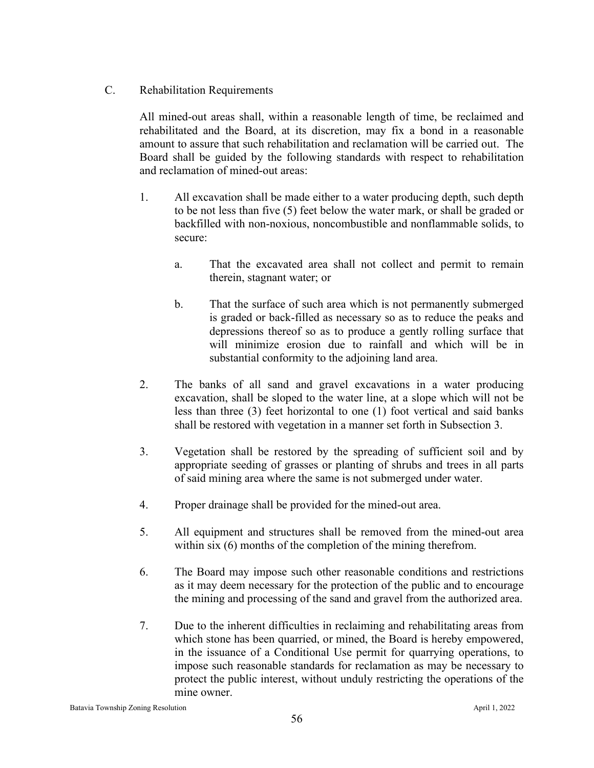C. Rehabilitation Requirements

All mined-out areas shall, within a reasonable length of time, be reclaimed and rehabilitated and the Board, at its discretion, may fix a bond in a reasonable amount to assure that such rehabilitation and reclamation will be carried out. The Board shall be guided by the following standards with respect to rehabilitation and reclamation of mined-out areas:

- 1. All excavation shall be made either to a water producing depth, such depth to be not less than five (5) feet below the water mark, or shall be graded or backfilled with non-noxious, noncombustible and nonflammable solids, to secure:
	- a. That the excavated area shall not collect and permit to remain therein, stagnant water; or
	- b. That the surface of such area which is not permanently submerged is graded or back-filled as necessary so as to reduce the peaks and depressions thereof so as to produce a gently rolling surface that will minimize erosion due to rainfall and which will be in substantial conformity to the adjoining land area.
- 2. The banks of all sand and gravel excavations in a water producing excavation, shall be sloped to the water line, at a slope which will not be less than three (3) feet horizontal to one (1) foot vertical and said banks shall be restored with vegetation in a manner set forth in Subsection 3.
- 3. Vegetation shall be restored by the spreading of sufficient soil and by appropriate seeding of grasses or planting of shrubs and trees in all parts of said mining area where the same is not submerged under water.
- 4. Proper drainage shall be provided for the mined-out area.
- 5. All equipment and structures shall be removed from the mined-out area within six (6) months of the completion of the mining therefrom.
- 6. The Board may impose such other reasonable conditions and restrictions as it may deem necessary for the protection of the public and to encourage the mining and processing of the sand and gravel from the authorized area.
- 7. Due to the inherent difficulties in reclaiming and rehabilitating areas from which stone has been quarried, or mined, the Board is hereby empowered, in the issuance of a Conditional Use permit for quarrying operations, to impose such reasonable standards for reclamation as may be necessary to protect the public interest, without unduly restricting the operations of the mine owner.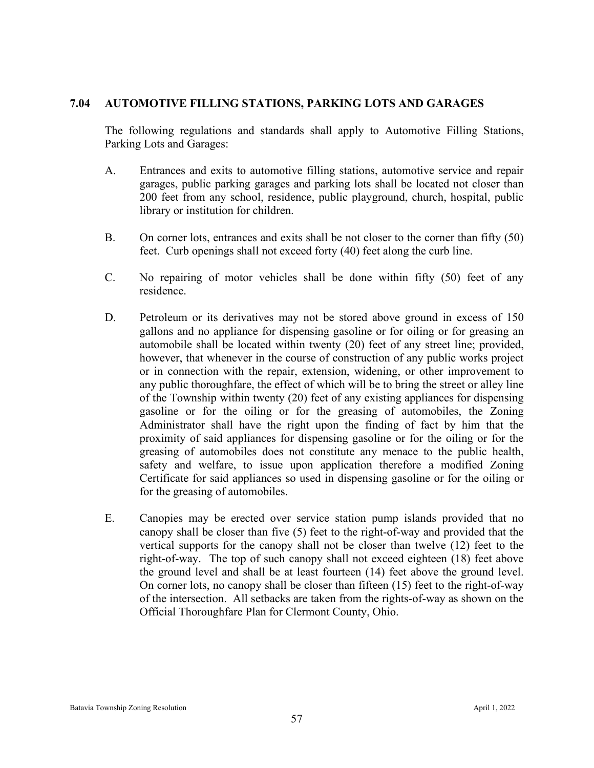#### **7.04 AUTOMOTIVE FILLING STATIONS, PARKING LOTS AND GARAGES**

The following regulations and standards shall apply to Automotive Filling Stations, Parking Lots and Garages:

- A. Entrances and exits to automotive filling stations, automotive service and repair garages, public parking garages and parking lots shall be located not closer than 200 feet from any school, residence, public playground, church, hospital, public library or institution for children.
- B. On corner lots, entrances and exits shall be not closer to the corner than fifty (50) feet. Curb openings shall not exceed forty (40) feet along the curb line.
- C. No repairing of motor vehicles shall be done within fifty (50) feet of any residence.
- D. Petroleum or its derivatives may not be stored above ground in excess of 150 gallons and no appliance for dispensing gasoline or for oiling or for greasing an automobile shall be located within twenty (20) feet of any street line; provided, however, that whenever in the course of construction of any public works project or in connection with the repair, extension, widening, or other improvement to any public thoroughfare, the effect of which will be to bring the street or alley line of the Township within twenty (20) feet of any existing appliances for dispensing gasoline or for the oiling or for the greasing of automobiles, the Zoning Administrator shall have the right upon the finding of fact by him that the proximity of said appliances for dispensing gasoline or for the oiling or for the greasing of automobiles does not constitute any menace to the public health, safety and welfare, to issue upon application therefore a modified Zoning Certificate for said appliances so used in dispensing gasoline or for the oiling or for the greasing of automobiles.
- E. Canopies may be erected over service station pump islands provided that no canopy shall be closer than five (5) feet to the right-of-way and provided that the vertical supports for the canopy shall not be closer than twelve (12) feet to the right-of-way. The top of such canopy shall not exceed eighteen (18) feet above the ground level and shall be at least fourteen (14) feet above the ground level. On corner lots, no canopy shall be closer than fifteen (15) feet to the right-of-way of the intersection. All setbacks are taken from the rights-of-way as shown on the Official Thoroughfare Plan for Clermont County, Ohio.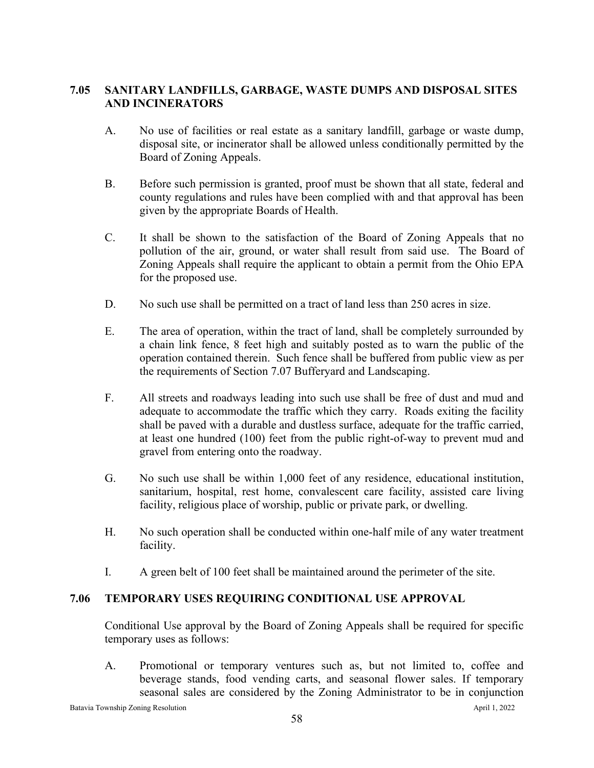## **7.05 SANITARY LANDFILLS, GARBAGE, WASTE DUMPS AND DISPOSAL SITES AND INCINERATORS**

- A. No use of facilities or real estate as a sanitary landfill, garbage or waste dump, disposal site, or incinerator shall be allowed unless conditionally permitted by the Board of Zoning Appeals.
- B. Before such permission is granted, proof must be shown that all state, federal and county regulations and rules have been complied with and that approval has been given by the appropriate Boards of Health.
- C. It shall be shown to the satisfaction of the Board of Zoning Appeals that no pollution of the air, ground, or water shall result from said use. The Board of Zoning Appeals shall require the applicant to obtain a permit from the Ohio EPA for the proposed use.
- D. No such use shall be permitted on a tract of land less than 250 acres in size.
- E. The area of operation, within the tract of land, shall be completely surrounded by a chain link fence, 8 feet high and suitably posted as to warn the public of the operation contained therein. Such fence shall be buffered from public view as per the requirements of Section 7.07 Bufferyard and Landscaping.
- F. All streets and roadways leading into such use shall be free of dust and mud and adequate to accommodate the traffic which they carry. Roads exiting the facility shall be paved with a durable and dustless surface, adequate for the traffic carried, at least one hundred (100) feet from the public right-of-way to prevent mud and gravel from entering onto the roadway.
- G. No such use shall be within 1,000 feet of any residence, educational institution, sanitarium, hospital, rest home, convalescent care facility, assisted care living facility, religious place of worship, public or private park, or dwelling.
- H. No such operation shall be conducted within one-half mile of any water treatment facility.
- I. A green belt of 100 feet shall be maintained around the perimeter of the site.

# **7.06 TEMPORARY USES REQUIRING CONDITIONAL USE APPROVAL**

Conditional Use approval by the Board of Zoning Appeals shall be required for specific temporary uses as follows:

A. Promotional or temporary ventures such as, but not limited to, coffee and beverage stands, food vending carts, and seasonal flower sales. If temporary seasonal sales are considered by the Zoning Administrator to be in conjunction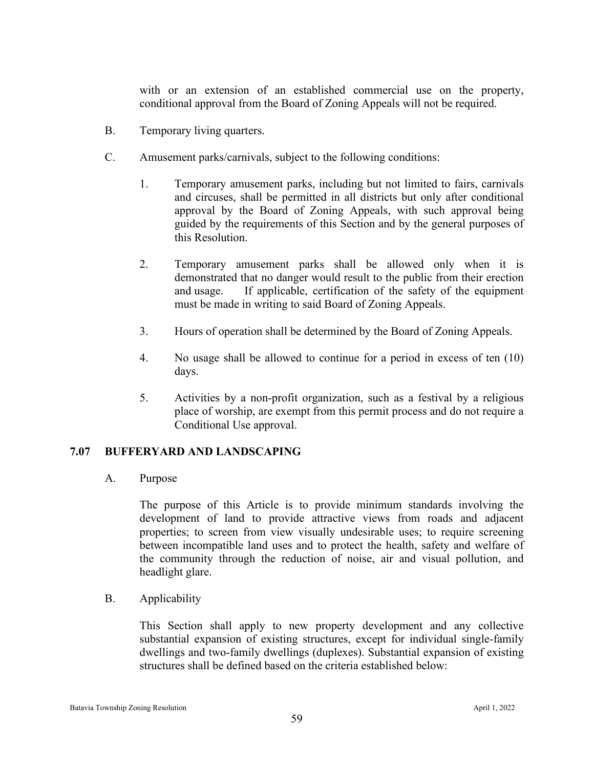with or an extension of an established commercial use on the property, conditional approval from the Board of Zoning Appeals will not be required.

- B. Temporary living quarters.
- C. Amusement parks/carnivals, subject to the following conditions:
	- 1. Temporary amusement parks, including but not limited to fairs, carnivals and circuses, shall be permitted in all districts but only after conditional approval by the Board of Zoning Appeals, with such approval being guided by the requirements of this Section and by the general purposes of this Resolution.
	- 2. Temporary amusement parks shall be allowed only when it is demonstrated that no danger would result to the public from their erection and usage. If applicable, certification of the safety of the equipment must be made in writing to said Board of Zoning Appeals.
	- 3. Hours of operation shall be determined by the Board of Zoning Appeals.
	- 4. No usage shall be allowed to continue for a period in excess of ten (10) days.
	- 5. Activities by a non-profit organization, such as a festival by a religious place of worship, are exempt from this permit process and do not require a Conditional Use approval.

## **7.07 BUFFERYARD AND LANDSCAPING**

A. Purpose

The purpose of this Article is to provide minimum standards involving the development of land to provide attractive views from roads and adjacent properties; to screen from view visually undesirable uses; to require screening between incompatible land uses and to protect the health, safety and welfare of the community through the reduction of noise, air and visual pollution, and headlight glare.

B. Applicability

This Section shall apply to new property development and any collective substantial expansion of existing structures, except for individual single-family dwellings and two-family dwellings (duplexes). Substantial expansion of existing structures shall be defined based on the criteria established below: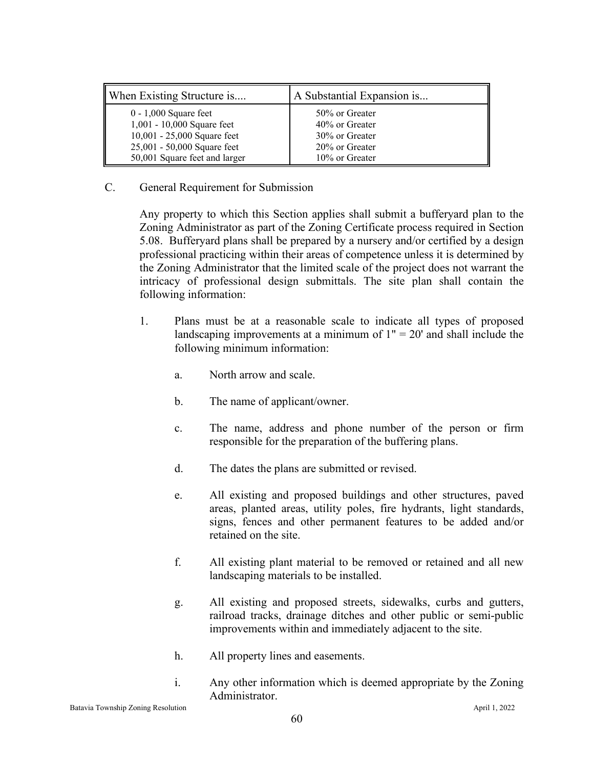| When Existing Structure is    | A Substantial Expansion is |
|-------------------------------|----------------------------|
| $0 - 1,000$ Square feet       | 50% or Greater             |
| 1,001 - 10,000 Square feet    | 40% or Greater             |
| 10,001 - 25,000 Square feet   | 30% or Greater             |
| 25,001 - 50,000 Square feet   | 20% or Greater             |
| 50,001 Square feet and larger | 10% or Greater             |

#### C. General Requirement for Submission

Any property to which this Section applies shall submit a bufferyard plan to the Zoning Administrator as part of the Zoning Certificate process required in Section 5.08. Bufferyard plans shall be prepared by a nursery and/or certified by a design professional practicing within their areas of competence unless it is determined by the Zoning Administrator that the limited scale of the project does not warrant the intricacy of professional design submittals. The site plan shall contain the following information:

- 1. Plans must be at a reasonable scale to indicate all types of proposed landscaping improvements at a minimum of  $1" = 20'$  and shall include the following minimum information:
	- a. North arrow and scale.
	- b. The name of applicant/owner.
	- c. The name, address and phone number of the person or firm responsible for the preparation of the buffering plans.
	- d. The dates the plans are submitted or revised.
	- e. All existing and proposed buildings and other structures, paved areas, planted areas, utility poles, fire hydrants, light standards, signs, fences and other permanent features to be added and/or retained on the site.
	- f. All existing plant material to be removed or retained and all new landscaping materials to be installed.
	- g. All existing and proposed streets, sidewalks, curbs and gutters, railroad tracks, drainage ditches and other public or semi-public improvements within and immediately adjacent to the site.
	- h. All property lines and easements.
	- i. Any other information which is deemed appropriate by the Zoning Administrator.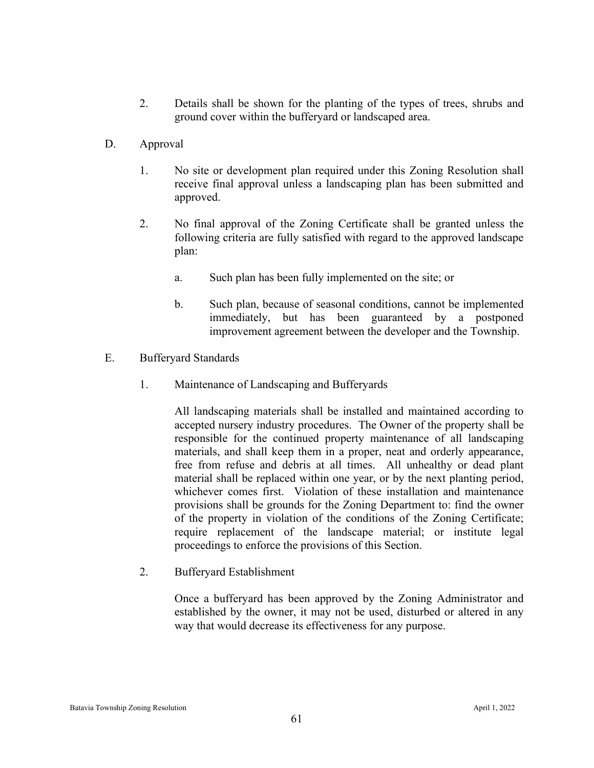- 2. Details shall be shown for the planting of the types of trees, shrubs and ground cover within the bufferyard or landscaped area.
- D. Approval
	- 1. No site or development plan required under this Zoning Resolution shall receive final approval unless a landscaping plan has been submitted and approved.
	- 2. No final approval of the Zoning Certificate shall be granted unless the following criteria are fully satisfied with regard to the approved landscape plan:
		- a. Such plan has been fully implemented on the site; or
		- b. Such plan, because of seasonal conditions, cannot be implemented immediately, but has been guaranteed by a postponed improvement agreement between the developer and the Township.
- E. Bufferyard Standards
	- 1. Maintenance of Landscaping and Bufferyards

All landscaping materials shall be installed and maintained according to accepted nursery industry procedures. The Owner of the property shall be responsible for the continued property maintenance of all landscaping materials, and shall keep them in a proper, neat and orderly appearance, free from refuse and debris at all times. All unhealthy or dead plant material shall be replaced within one year, or by the next planting period, whichever comes first. Violation of these installation and maintenance provisions shall be grounds for the Zoning Department to: find the owner of the property in violation of the conditions of the Zoning Certificate; require replacement of the landscape material; or institute legal proceedings to enforce the provisions of this Section.

2. Bufferyard Establishment

Once a bufferyard has been approved by the Zoning Administrator and established by the owner, it may not be used, disturbed or altered in any way that would decrease its effectiveness for any purpose.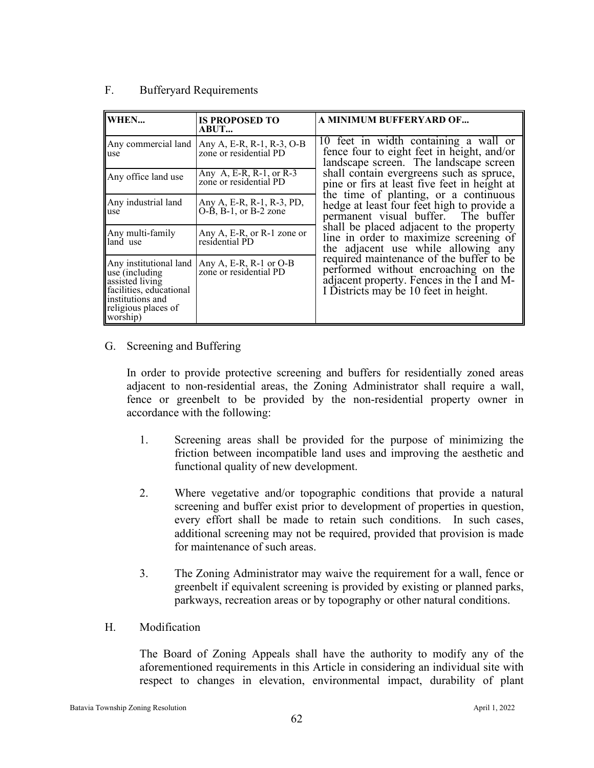| WHEN                                                                                                                                           | <b>IS PROPOSED TO</b><br><b>ABUT</b>                             | A MINIMUM BUFFERYARD OF                                                                                                                                                                                                                                                                                                                                 |  |  |
|------------------------------------------------------------------------------------------------------------------------------------------------|------------------------------------------------------------------|---------------------------------------------------------------------------------------------------------------------------------------------------------------------------------------------------------------------------------------------------------------------------------------------------------------------------------------------------------|--|--|
| Any commercial land<br>use                                                                                                                     | Any A, E-R, R-1, R-3, O-B<br>zone or residential PD              | 10 feet in width containing a wall or<br>fence four to eight feet in height, and/or<br>landscape screen. The landscape screen<br>shall contain evergreens such as spruce,<br>pine or firs at least five feet in height at<br>the time of planting, or a continuous<br>hedge at least four feet high to provide a<br>permanent visual buffer. The buffer |  |  |
| Any office land use                                                                                                                            | Any A, E-R, R-1, or R-3<br>zone or residential PD                |                                                                                                                                                                                                                                                                                                                                                         |  |  |
| Any industrial land<br>use                                                                                                                     | Any A, E-R, R-1, R-3, PD,<br>$O-\dot{B}$ , $B-1$ , or $B-2$ zone |                                                                                                                                                                                                                                                                                                                                                         |  |  |
| Any multi-family<br>land use                                                                                                                   | Any A, E-R, or R-1 zone or<br>residential PD                     | shall be placed adjacent to the property<br>line in order to maximize screening of<br>the adjacent use while allowing any                                                                                                                                                                                                                               |  |  |
| Any institutional land<br>use (including)<br>assisted living<br>facilities, educational<br>institutions and<br>religious places of<br>worship) | Any A, E-R, R-1 or $O-B$<br>zone or residential PD               | required maintenance of the buffer to be<br>performed without encroaching on the<br>adjacent property. Fences in the I and M-<br>I Districts may be 10 feet in height.                                                                                                                                                                                  |  |  |

#### F. Bufferyard Requirements

#### G. Screening and Buffering

In order to provide protective screening and buffers for residentially zoned areas adjacent to non-residential areas, the Zoning Administrator shall require a wall, fence or greenbelt to be provided by the non-residential property owner in accordance with the following:

- 1. Screening areas shall be provided for the purpose of minimizing the friction between incompatible land uses and improving the aesthetic and functional quality of new development.
- 2. Where vegetative and/or topographic conditions that provide a natural screening and buffer exist prior to development of properties in question, every effort shall be made to retain such conditions. In such cases, additional screening may not be required, provided that provision is made for maintenance of such areas.
- 3. The Zoning Administrator may waive the requirement for a wall, fence or greenbelt if equivalent screening is provided by existing or planned parks, parkways, recreation areas or by topography or other natural conditions.
- H. Modification

The Board of Zoning Appeals shall have the authority to modify any of the aforementioned requirements in this Article in considering an individual site with respect to changes in elevation, environmental impact, durability of plant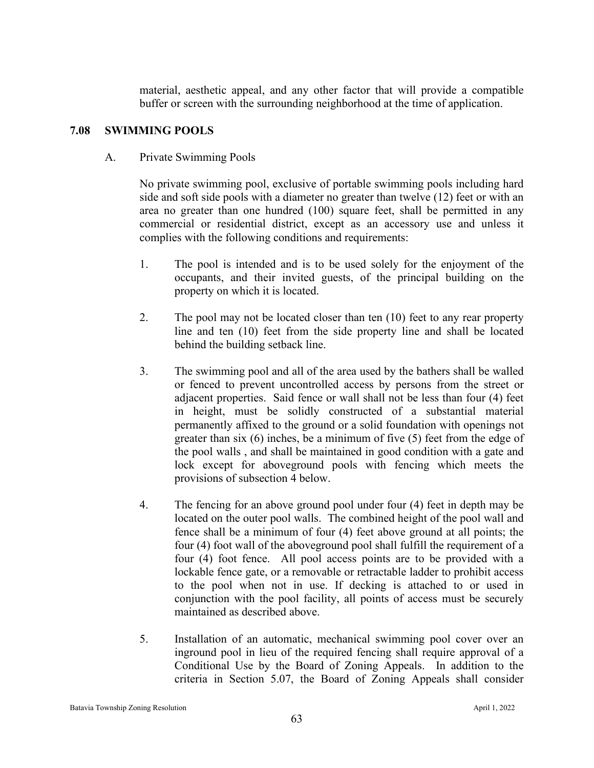material, aesthetic appeal, and any other factor that will provide a compatible buffer or screen with the surrounding neighborhood at the time of application.

#### **7.08 SWIMMING POOLS**

A. Private Swimming Pools

No private swimming pool, exclusive of portable swimming pools including hard side and soft side pools with a diameter no greater than twelve (12) feet or with an area no greater than one hundred (100) square feet, shall be permitted in any commercial or residential district, except as an accessory use and unless it complies with the following conditions and requirements:

- 1. The pool is intended and is to be used solely for the enjoyment of the occupants, and their invited guests, of the principal building on the property on which it is located.
- 2. The pool may not be located closer than ten (10) feet to any rear property line and ten (10) feet from the side property line and shall be located behind the building setback line.
- 3. The swimming pool and all of the area used by the bathers shall be walled or fenced to prevent uncontrolled access by persons from the street or adjacent properties. Said fence or wall shall not be less than four (4) feet in height, must be solidly constructed of a substantial material permanently affixed to the ground or a solid foundation with openings not greater than six (6) inches, be a minimum of five (5) feet from the edge of the pool walls , and shall be maintained in good condition with a gate and lock except for aboveground pools with fencing which meets the provisions of subsection 4 below.
- 4. The fencing for an above ground pool under four (4) feet in depth may be located on the outer pool walls. The combined height of the pool wall and fence shall be a minimum of four (4) feet above ground at all points; the four (4) foot wall of the aboveground pool shall fulfill the requirement of a four (4) foot fence. All pool access points are to be provided with a lockable fence gate, or a removable or retractable ladder to prohibit access to the pool when not in use. If decking is attached to or used in conjunction with the pool facility, all points of access must be securely maintained as described above.
- 5. Installation of an automatic, mechanical swimming pool cover over an inground pool in lieu of the required fencing shall require approval of a Conditional Use by the Board of Zoning Appeals. In addition to the criteria in Section 5.07, the Board of Zoning Appeals shall consider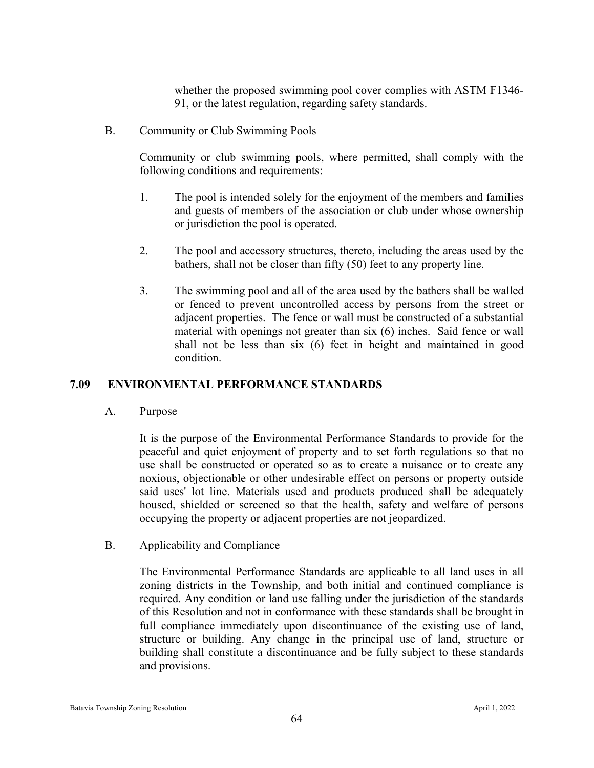whether the proposed swimming pool cover complies with ASTM F1346- 91, or the latest regulation, regarding safety standards.

B. Community or Club Swimming Pools

Community or club swimming pools, where permitted, shall comply with the following conditions and requirements:

- 1. The pool is intended solely for the enjoyment of the members and families and guests of members of the association or club under whose ownership or jurisdiction the pool is operated.
- 2. The pool and accessory structures, thereto, including the areas used by the bathers, shall not be closer than fifty (50) feet to any property line.
- 3. The swimming pool and all of the area used by the bathers shall be walled or fenced to prevent uncontrolled access by persons from the street or adjacent properties. The fence or wall must be constructed of a substantial material with openings not greater than six (6) inches. Said fence or wall shall not be less than six (6) feet in height and maintained in good condition.

## **7.09 ENVIRONMENTAL PERFORMANCE STANDARDS**

A. Purpose

It is the purpose of the Environmental Performance Standards to provide for the peaceful and quiet enjoyment of property and to set forth regulations so that no use shall be constructed or operated so as to create a nuisance or to create any noxious, objectionable or other undesirable effect on persons or property outside said uses' lot line. Materials used and products produced shall be adequately housed, shielded or screened so that the health, safety and welfare of persons occupying the property or adjacent properties are not jeopardized.

B. Applicability and Compliance

The Environmental Performance Standards are applicable to all land uses in all zoning districts in the Township, and both initial and continued compliance is required. Any condition or land use falling under the jurisdiction of the standards of this Resolution and not in conformance with these standards shall be brought in full compliance immediately upon discontinuance of the existing use of land, structure or building. Any change in the principal use of land, structure or building shall constitute a discontinuance and be fully subject to these standards and provisions.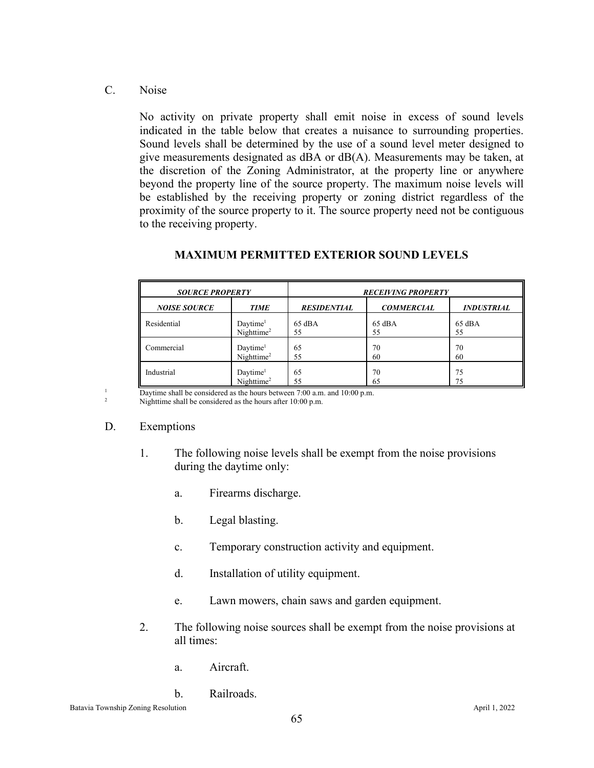C. Noise

No activity on private property shall emit noise in excess of sound levels indicated in the table below that creates a nuisance to surrounding properties. Sound levels shall be determined by the use of a sound level meter designed to give measurements designated as dBA or dB(A). Measurements may be taken, at the discretion of the Zoning Administrator, at the property line or anywhere beyond the property line of the source property. The maximum noise levels will be established by the receiving property or zoning district regardless of the proximity of the source property to it. The source property need not be contiguous to the receiving property.

| <b>SOURCE PROPERTY</b> |                                                | <b>RECEIVING PROPERTY</b> |                   |                   |  |
|------------------------|------------------------------------------------|---------------------------|-------------------|-------------------|--|
| <b>NOISE SOURCE</b>    | <b>TIME</b>                                    | <b>RESIDENTIAL</b>        | <b>COMMERCIAL</b> | <b>INDUSTRIAL</b> |  |
| Residential            | Daytime <sup>1</sup><br>Nighttime <sup>2</sup> | $65$ dBA<br>55            | $65$ dBA<br>55    | $65$ dBA<br>55    |  |
| Commercial             | Daytime <sup>1</sup><br>Nighttime <sup>2</sup> | 65<br>55                  | 70<br>60          | 70<br>60          |  |
| Industrial             | Daytime <sup>1</sup><br>Nighttime <sup>2</sup> | 65<br>55                  | 70<br>65          | 75<br>75          |  |

#### **MAXIMUM PERMITTED EXTERIOR SOUND LEVELS**

 $\frac{1}{2}$  Daytime shall be considered as the hours between 7:00 a.m. and 10:00 p.m.

Nighttime shall be considered as the hours after 10:00 p.m.

## D. Exemptions

- 1. The following noise levels shall be exempt from the noise provisions during the daytime only:
	- a. Firearms discharge.
	- b. Legal blasting.
	- c. Temporary construction activity and equipment.
	- d. Installation of utility equipment.
	- e. Lawn mowers, chain saws and garden equipment.
- 2. The following noise sources shall be exempt from the noise provisions at all times:
	- a. Aircraft.

# b. Railroads.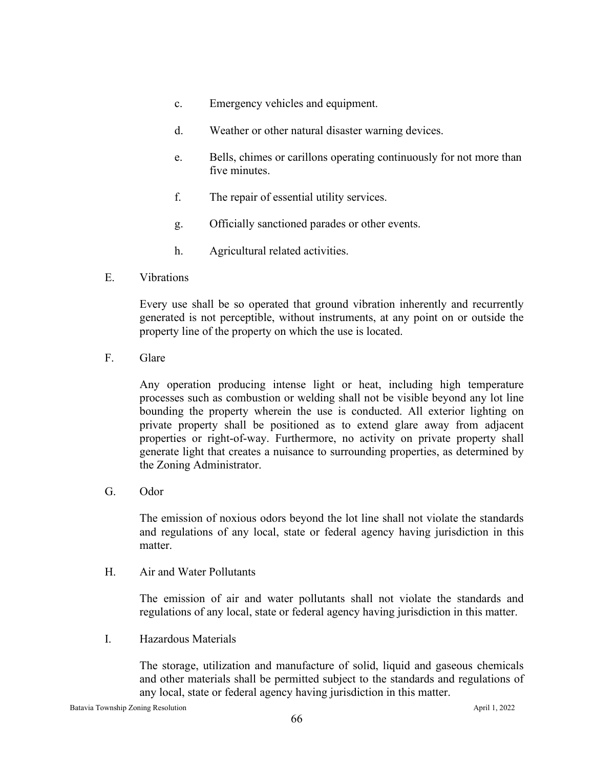- c. Emergency vehicles and equipment.
- d. Weather or other natural disaster warning devices.
- e. Bells, chimes or carillons operating continuously for not more than five minutes.
- f. The repair of essential utility services.
- g. Officially sanctioned parades or other events.
- h. Agricultural related activities.
- E. Vibrations

Every use shall be so operated that ground vibration inherently and recurrently generated is not perceptible, without instruments, at any point on or outside the property line of the property on which the use is located.

F. Glare

Any operation producing intense light or heat, including high temperature processes such as combustion or welding shall not be visible beyond any lot line bounding the property wherein the use is conducted. All exterior lighting on private property shall be positioned as to extend glare away from adjacent properties or right-of-way. Furthermore, no activity on private property shall generate light that creates a nuisance to surrounding properties, as determined by the Zoning Administrator.

G. Odor

The emission of noxious odors beyond the lot line shall not violate the standards and regulations of any local, state or federal agency having jurisdiction in this matter.

H. Air and Water Pollutants

The emission of air and water pollutants shall not violate the standards and regulations of any local, state or federal agency having jurisdiction in this matter.

I. Hazardous Materials

The storage, utilization and manufacture of solid, liquid and gaseous chemicals and other materials shall be permitted subject to the standards and regulations of any local, state or federal agency having jurisdiction in this matter.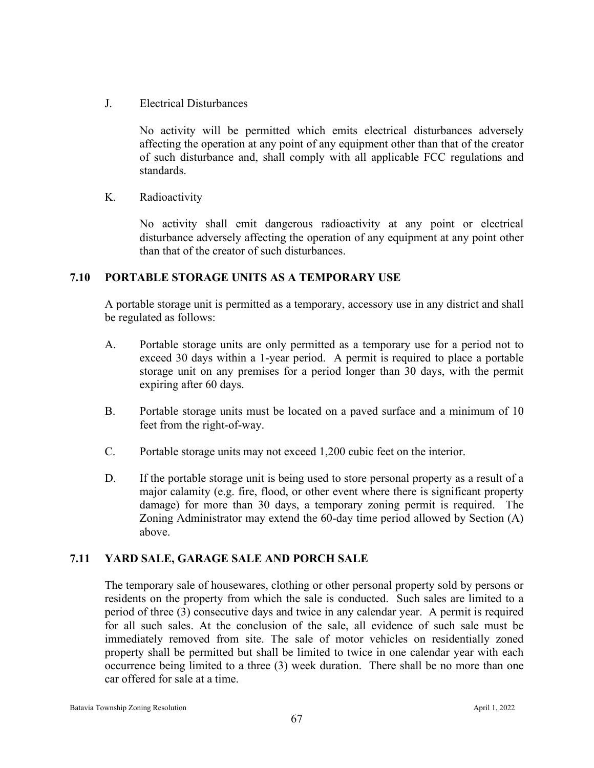J. Electrical Disturbances

No activity will be permitted which emits electrical disturbances adversely affecting the operation at any point of any equipment other than that of the creator of such disturbance and, shall comply with all applicable FCC regulations and standards.

K. Radioactivity

No activity shall emit dangerous radioactivity at any point or electrical disturbance adversely affecting the operation of any equipment at any point other than that of the creator of such disturbances.

#### **7.10 PORTABLE STORAGE UNITS AS A TEMPORARY USE**

A portable storage unit is permitted as a temporary, accessory use in any district and shall be regulated as follows:

- A. Portable storage units are only permitted as a temporary use for a period not to exceed 30 days within a 1-year period. A permit is required to place a portable storage unit on any premises for a period longer than 30 days, with the permit expiring after 60 days.
- B. Portable storage units must be located on a paved surface and a minimum of 10 feet from the right-of-way.
- C. Portable storage units may not exceed 1,200 cubic feet on the interior.
- D. If the portable storage unit is being used to store personal property as a result of a major calamity (e.g. fire, flood, or other event where there is significant property damage) for more than 30 days, a temporary zoning permit is required. The Zoning Administrator may extend the 60-day time period allowed by Section (A) above.

## **7.11 YARD SALE, GARAGE SALE AND PORCH SALE**

The temporary sale of housewares, clothing or other personal property sold by persons or residents on the property from which the sale is conducted. Such sales are limited to a period of three (3) consecutive days and twice in any calendar year. A permit is required for all such sales. At the conclusion of the sale, all evidence of such sale must be immediately removed from site. The sale of motor vehicles on residentially zoned property shall be permitted but shall be limited to twice in one calendar year with each occurrence being limited to a three (3) week duration. There shall be no more than one car offered for sale at a time.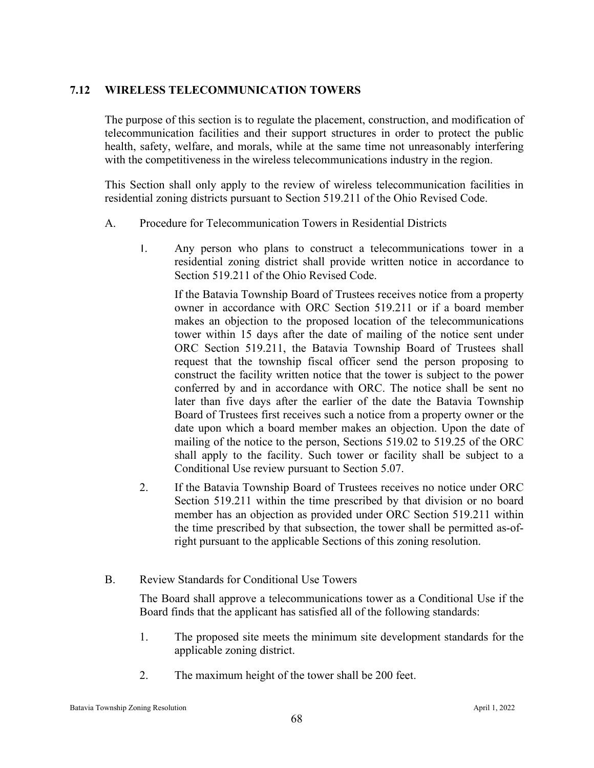## **7.12 WIRELESS TELECOMMUNICATION TOWERS**

The purpose of this section is to regulate the placement, construction, and modification of telecommunication facilities and their support structures in order to protect the public health, safety, welfare, and morals, while at the same time not unreasonably interfering with the competitiveness in the wireless telecommunications industry in the region.

This Section shall only apply to the review of wireless telecommunication facilities in residential zoning districts pursuant to Section 519.211 of the Ohio Revised Code.

- A. Procedure for Telecommunication Towers in Residential Districts
	- 1. Any person who plans to construct a telecommunications tower in a residential zoning district shall provide written notice in accordance to Section 519.211 of the Ohio Revised Code.

If the Batavia Township Board of Trustees receives notice from a property owner in accordance with ORC Section 519.211 or if a board member makes an objection to the proposed location of the telecommunications tower within 15 days after the date of mailing of the notice sent under ORC Section 519.211, the Batavia Township Board of Trustees shall request that the township fiscal officer send the person proposing to construct the facility written notice that the tower is subject to the power conferred by and in accordance with ORC. The notice shall be sent no later than five days after the earlier of the date the Batavia Township Board of Trustees first receives such a notice from a property owner or the date upon which a board member makes an objection. Upon the date of mailing of the notice to the person, Sections 519.02 to 519.25 of the ORC shall apply to the facility. Such tower or facility shall be subject to a Conditional Use review pursuant to Section 5.07.

- 2. If the Batavia Township Board of Trustees receives no notice under ORC Section 519.211 within the time prescribed by that division or no board member has an objection as provided under ORC Section 519.211 within the time prescribed by that subsection, the tower shall be permitted as-ofright pursuant to the applicable Sections of this zoning resolution.
- B. Review Standards for Conditional Use Towers

The Board shall approve a telecommunications tower as a Conditional Use if the Board finds that the applicant has satisfied all of the following standards:

- 1. The proposed site meets the minimum site development standards for the applicable zoning district.
- 2. The maximum height of the tower shall be 200 feet.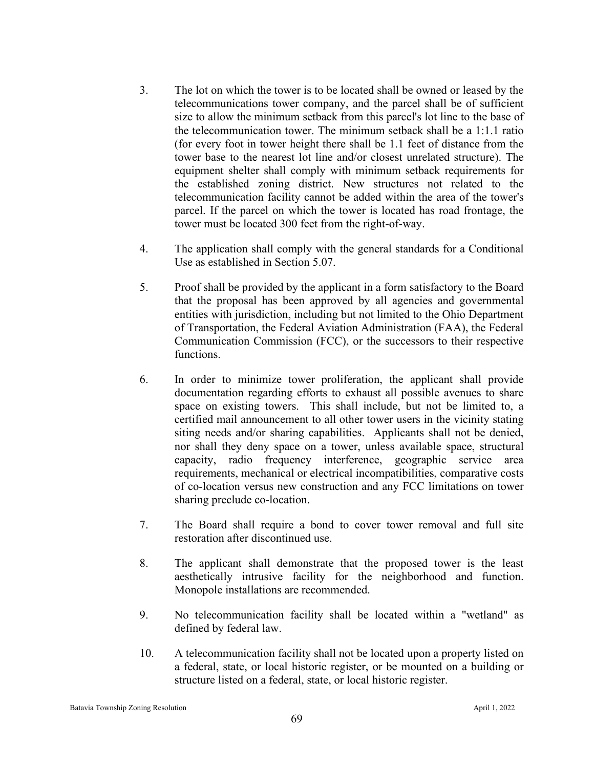- 3. The lot on which the tower is to be located shall be owned or leased by the telecommunications tower company, and the parcel shall be of sufficient size to allow the minimum setback from this parcel's lot line to the base of the telecommunication tower. The minimum setback shall be a 1:1.1 ratio (for every foot in tower height there shall be 1.1 feet of distance from the tower base to the nearest lot line and/or closest unrelated structure). The equipment shelter shall comply with minimum setback requirements for the established zoning district. New structures not related to the telecommunication facility cannot be added within the area of the tower's parcel. If the parcel on which the tower is located has road frontage, the tower must be located 300 feet from the right-of-way.
- 4. The application shall comply with the general standards for a Conditional Use as established in Section 5.07.
- 5. Proof shall be provided by the applicant in a form satisfactory to the Board that the proposal has been approved by all agencies and governmental entities with jurisdiction, including but not limited to the Ohio Department of Transportation, the Federal Aviation Administration (FAA), the Federal Communication Commission (FCC), or the successors to their respective functions.
- 6. In order to minimize tower proliferation, the applicant shall provide documentation regarding efforts to exhaust all possible avenues to share space on existing towers. This shall include, but not be limited to, a certified mail announcement to all other tower users in the vicinity stating siting needs and/or sharing capabilities. Applicants shall not be denied, nor shall they deny space on a tower, unless available space, structural capacity, radio frequency interference, geographic service area requirements, mechanical or electrical incompatibilities, comparative costs of co-location versus new construction and any FCC limitations on tower sharing preclude co-location.
- 7. The Board shall require a bond to cover tower removal and full site restoration after discontinued use.
- 8. The applicant shall demonstrate that the proposed tower is the least aesthetically intrusive facility for the neighborhood and function. Monopole installations are recommended.
- 9. No telecommunication facility shall be located within a "wetland" as defined by federal law.
- 10. A telecommunication facility shall not be located upon a property listed on a federal, state, or local historic register, or be mounted on a building or structure listed on a federal, state, or local historic register.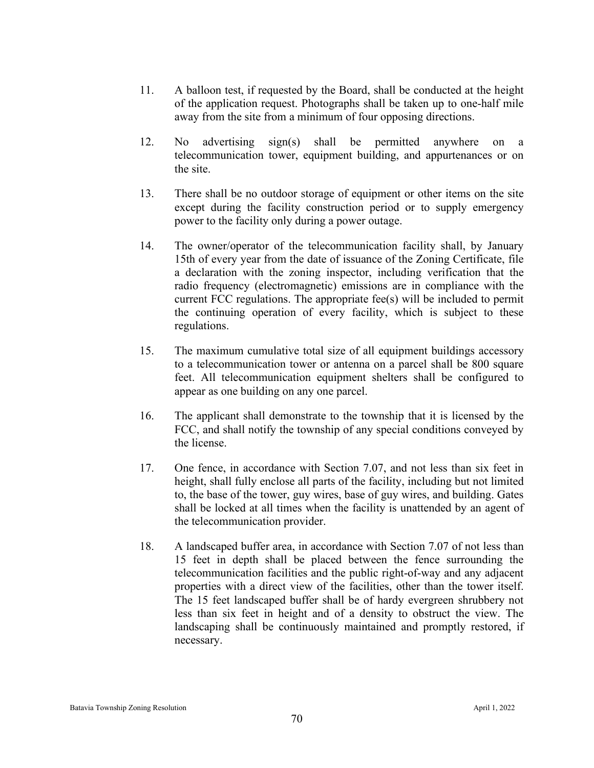- 11. A balloon test, if requested by the Board, shall be conducted at the height of the application request. Photographs shall be taken up to one-half mile away from the site from a minimum of four opposing directions.
- 12. No advertising sign(s) shall be permitted anywhere on a telecommunication tower, equipment building, and appurtenances or on the site.
- 13. There shall be no outdoor storage of equipment or other items on the site except during the facility construction period or to supply emergency power to the facility only during a power outage.
- 14. The owner/operator of the telecommunication facility shall, by January 15th of every year from the date of issuance of the Zoning Certificate, file a declaration with the zoning inspector, including verification that the radio frequency (electromagnetic) emissions are in compliance with the current FCC regulations. The appropriate fee(s) will be included to permit the continuing operation of every facility, which is subject to these regulations.
- 15. The maximum cumulative total size of all equipment buildings accessory to a telecommunication tower or antenna on a parcel shall be 800 square feet. All telecommunication equipment shelters shall be configured to appear as one building on any one parcel.
- 16. The applicant shall demonstrate to the township that it is licensed by the FCC, and shall notify the township of any special conditions conveyed by the license.
- 17. One fence, in accordance with Section 7.07, and not less than six feet in height, shall fully enclose all parts of the facility, including but not limited to, the base of the tower, guy wires, base of guy wires, and building. Gates shall be locked at all times when the facility is unattended by an agent of the telecommunication provider.
- 18. A landscaped buffer area, in accordance with Section 7.07 of not less than 15 feet in depth shall be placed between the fence surrounding the telecommunication facilities and the public right-of-way and any adjacent properties with a direct view of the facilities, other than the tower itself. The 15 feet landscaped buffer shall be of hardy evergreen shrubbery not less than six feet in height and of a density to obstruct the view. The landscaping shall be continuously maintained and promptly restored, if necessary.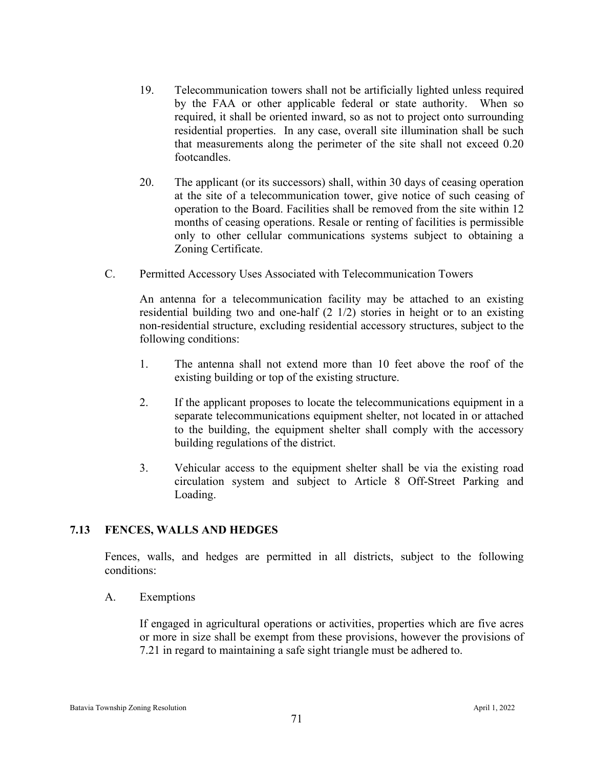- 19. Telecommunication towers shall not be artificially lighted unless required by the FAA or other applicable federal or state authority. When so required, it shall be oriented inward, so as not to project onto surrounding residential properties. In any case, overall site illumination shall be such that measurements along the perimeter of the site shall not exceed 0.20 footcandles.
- 20. The applicant (or its successors) shall, within 30 days of ceasing operation at the site of a telecommunication tower, give notice of such ceasing of operation to the Board. Facilities shall be removed from the site within 12 months of ceasing operations. Resale or renting of facilities is permissible only to other cellular communications systems subject to obtaining a Zoning Certificate.
- C. Permitted Accessory Uses Associated with Telecommunication Towers

An antenna for a telecommunication facility may be attached to an existing residential building two and one-half (2 1/2) stories in height or to an existing non-residential structure, excluding residential accessory structures, subject to the following conditions:

- 1. The antenna shall not extend more than 10 feet above the roof of the existing building or top of the existing structure.
- 2. If the applicant proposes to locate the telecommunications equipment in a separate telecommunications equipment shelter, not located in or attached to the building, the equipment shelter shall comply with the accessory building regulations of the district.
- 3. Vehicular access to the equipment shelter shall be via the existing road circulation system and subject to Article 8 Off-Street Parking and Loading.

## **7.13 FENCES, WALLS AND HEDGES**

Fences, walls, and hedges are permitted in all districts, subject to the following conditions:

A. Exemptions

If engaged in agricultural operations or activities, properties which are five acres or more in size shall be exempt from these provisions, however the provisions of 7.21 in regard to maintaining a safe sight triangle must be adhered to.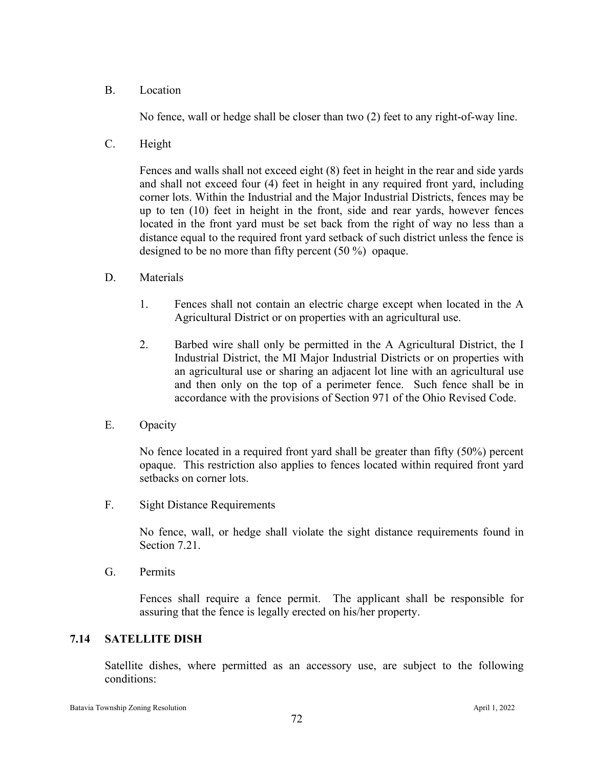B. Location

No fence, wall or hedge shall be closer than two (2) feet to any right-of-way line.

C. Height

Fences and walls shall not exceed eight (8) feet in height in the rear and side yards and shall not exceed four (4) feet in height in any required front yard, including corner lots. Within the Industrial and the Major Industrial Districts, fences may be up to ten (10) feet in height in the front, side and rear yards, however fences located in the front yard must be set back from the right of way no less than a distance equal to the required front yard setback of such district unless the fence is designed to be no more than fifty percent (50 %) opaque.

- D. Materials
	- 1. Fences shall not contain an electric charge except when located in the A Agricultural District or on properties with an agricultural use.
	- 2. Barbed wire shall only be permitted in the A Agricultural District, the I Industrial District, the MI Major Industrial Districts or on properties with an agricultural use or sharing an adjacent lot line with an agricultural use and then only on the top of a perimeter fence. Such fence shall be in accordance with the provisions of Section 971 of the Ohio Revised Code.
- E. Opacity

No fence located in a required front yard shall be greater than fifty (50%) percent opaque. This restriction also applies to fences located within required front yard setbacks on corner lots.

F. Sight Distance Requirements

No fence, wall, or hedge shall violate the sight distance requirements found in Section 7.21.

G. Permits

Fences shall require a fence permit. The applicant shall be responsible for assuring that the fence is legally erected on his/her property.

#### **7.14 SATELLITE DISH**

Satellite dishes, where permitted as an accessory use, are subject to the following conditions: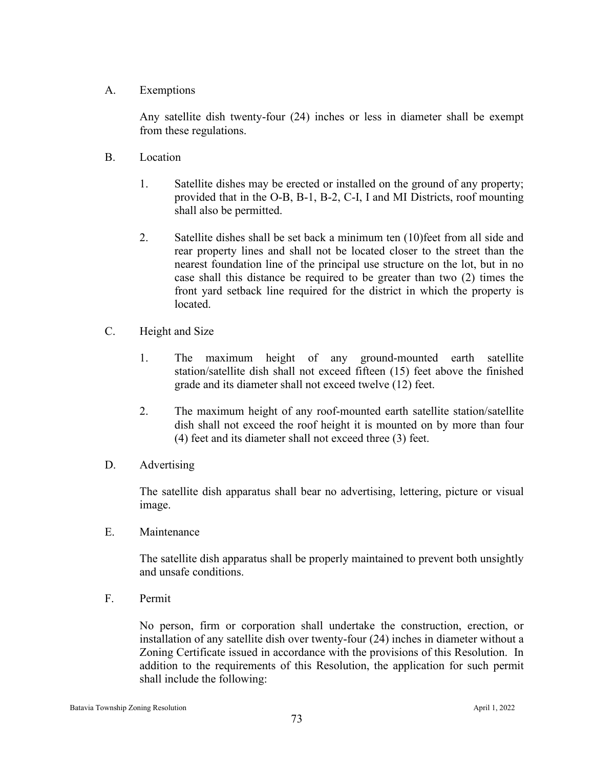A. Exemptions

Any satellite dish twenty-four (24) inches or less in diameter shall be exempt from these regulations.

- B. Location
	- 1. Satellite dishes may be erected or installed on the ground of any property; provided that in the O-B, B-1, B-2, C-I, I and MI Districts, roof mounting shall also be permitted.
	- 2. Satellite dishes shall be set back a minimum ten (10)feet from all side and rear property lines and shall not be located closer to the street than the nearest foundation line of the principal use structure on the lot, but in no case shall this distance be required to be greater than two (2) times the front yard setback line required for the district in which the property is located.
- C. Height and Size
	- 1. The maximum height of any ground-mounted earth satellite station/satellite dish shall not exceed fifteen (15) feet above the finished grade and its diameter shall not exceed twelve (12) feet.
	- 2. The maximum height of any roof-mounted earth satellite station/satellite dish shall not exceed the roof height it is mounted on by more than four (4) feet and its diameter shall not exceed three (3) feet.
- D. Advertising

The satellite dish apparatus shall bear no advertising, lettering, picture or visual image.

E. Maintenance

The satellite dish apparatus shall be properly maintained to prevent both unsightly and unsafe conditions.

F. Permit

No person, firm or corporation shall undertake the construction, erection, or installation of any satellite dish over twenty-four (24) inches in diameter without a Zoning Certificate issued in accordance with the provisions of this Resolution. In addition to the requirements of this Resolution, the application for such permit shall include the following: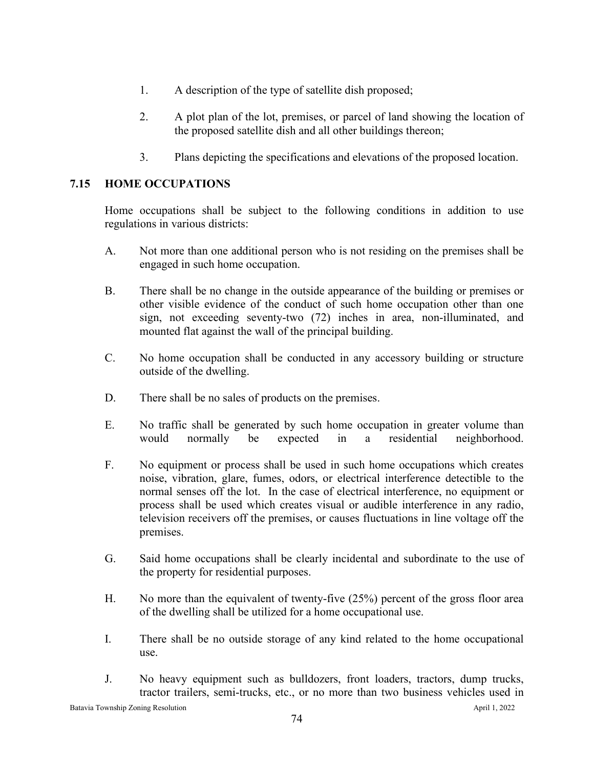- 1. A description of the type of satellite dish proposed;
- 2. A plot plan of the lot, premises, or parcel of land showing the location of the proposed satellite dish and all other buildings thereon;
- 3. Plans depicting the specifications and elevations of the proposed location.

## **7.15 HOME OCCUPATIONS**

Home occupations shall be subject to the following conditions in addition to use regulations in various districts:

- A. Not more than one additional person who is not residing on the premises shall be engaged in such home occupation.
- B. There shall be no change in the outside appearance of the building or premises or other visible evidence of the conduct of such home occupation other than one sign, not exceeding seventy-two (72) inches in area, non-illuminated, and mounted flat against the wall of the principal building.
- C. No home occupation shall be conducted in any accessory building or structure outside of the dwelling.
- D. There shall be no sales of products on the premises.
- E. No traffic shall be generated by such home occupation in greater volume than would normally be expected in a residential neighborhood.
- F. No equipment or process shall be used in such home occupations which creates noise, vibration, glare, fumes, odors, or electrical interference detectible to the normal senses off the lot. In the case of electrical interference, no equipment or process shall be used which creates visual or audible interference in any radio, television receivers off the premises, or causes fluctuations in line voltage off the premises.
- G. Said home occupations shall be clearly incidental and subordinate to the use of the property for residential purposes.
- H. No more than the equivalent of twenty-five (25%) percent of the gross floor area of the dwelling shall be utilized for a home occupational use.
- I. There shall be no outside storage of any kind related to the home occupational use.
- J. No heavy equipment such as bulldozers, front loaders, tractors, dump trucks, tractor trailers, semi-trucks, etc., or no more than two business vehicles used in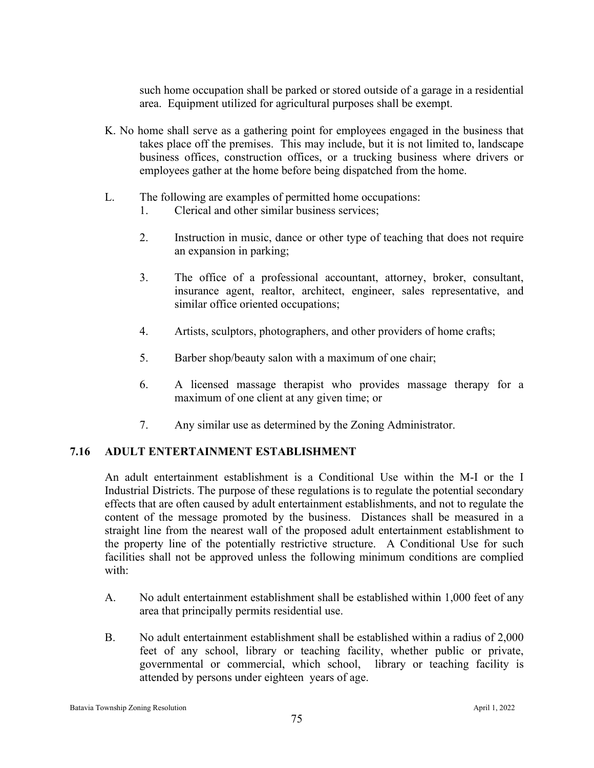such home occupation shall be parked or stored outside of a garage in a residential area. Equipment utilized for agricultural purposes shall be exempt.

- K. No home shall serve as a gathering point for employees engaged in the business that takes place off the premises. This may include, but it is not limited to, landscape business offices, construction offices, or a trucking business where drivers or employees gather at the home before being dispatched from the home.
- L. The following are examples of permitted home occupations:
	- 1. Clerical and other similar business services;
	- 2. Instruction in music, dance or other type of teaching that does not require an expansion in parking;
	- 3. The office of a professional accountant, attorney, broker, consultant, insurance agent, realtor, architect, engineer, sales representative, and similar office oriented occupations;
	- 4. Artists, sculptors, photographers, and other providers of home crafts;
	- 5. Barber shop/beauty salon with a maximum of one chair;
	- 6. A licensed massage therapist who provides massage therapy for a maximum of one client at any given time; or
	- 7. Any similar use as determined by the Zoning Administrator.

# **7.16 ADULT ENTERTAINMENT ESTABLISHMENT**

An adult entertainment establishment is a Conditional Use within the M-I or the I Industrial Districts. The purpose of these regulations is to regulate the potential secondary effects that are often caused by adult entertainment establishments, and not to regulate the content of the message promoted by the business. Distances shall be measured in a straight line from the nearest wall of the proposed adult entertainment establishment to the property line of the potentially restrictive structure. A Conditional Use for such facilities shall not be approved unless the following minimum conditions are complied with:

- A. No adult entertainment establishment shall be established within 1,000 feet of any area that principally permits residential use.
- B. No adult entertainment establishment shall be established within a radius of 2,000 feet of any school, library or teaching facility, whether public or private, governmental or commercial, which school, library or teaching facility is attended by persons under eighteen years of age.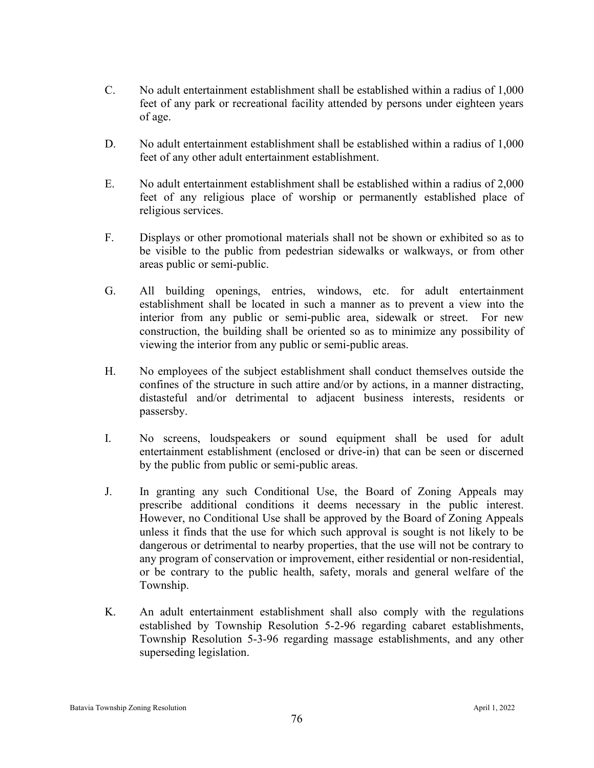- C. No adult entertainment establishment shall be established within a radius of 1,000 feet of any park or recreational facility attended by persons under eighteen years of age.
- D. No adult entertainment establishment shall be established within a radius of 1,000 feet of any other adult entertainment establishment.
- E. No adult entertainment establishment shall be established within a radius of 2,000 feet of any religious place of worship or permanently established place of religious services.
- F. Displays or other promotional materials shall not be shown or exhibited so as to be visible to the public from pedestrian sidewalks or walkways, or from other areas public or semi-public.
- G. All building openings, entries, windows, etc. for adult entertainment establishment shall be located in such a manner as to prevent a view into the interior from any public or semi-public area, sidewalk or street. For new construction, the building shall be oriented so as to minimize any possibility of viewing the interior from any public or semi-public areas.
- H. No employees of the subject establishment shall conduct themselves outside the confines of the structure in such attire and/or by actions, in a manner distracting, distasteful and/or detrimental to adjacent business interests, residents or passersby.
- I. No screens, loudspeakers or sound equipment shall be used for adult entertainment establishment (enclosed or drive-in) that can be seen or discerned by the public from public or semi-public areas.
- J. In granting any such Conditional Use, the Board of Zoning Appeals may prescribe additional conditions it deems necessary in the public interest. However, no Conditional Use shall be approved by the Board of Zoning Appeals unless it finds that the use for which such approval is sought is not likely to be dangerous or detrimental to nearby properties, that the use will not be contrary to any program of conservation or improvement, either residential or non-residential, or be contrary to the public health, safety, morals and general welfare of the Township.
- K. An adult entertainment establishment shall also comply with the regulations established by Township Resolution 5-2-96 regarding cabaret establishments, Township Resolution 5-3-96 regarding massage establishments, and any other superseding legislation.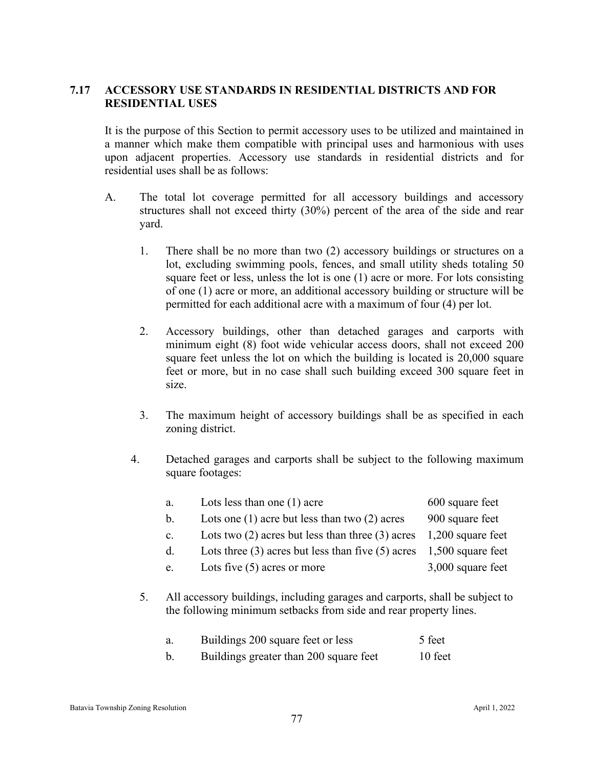## **7.17 ACCESSORY USE STANDARDS IN RESIDENTIAL DISTRICTS AND FOR RESIDENTIAL USES**

It is the purpose of this Section to permit accessory uses to be utilized and maintained in a manner which make them compatible with principal uses and harmonious with uses upon adjacent properties. Accessory use standards in residential districts and for residential uses shall be as follows:

- A. The total lot coverage permitted for all accessory buildings and accessory structures shall not exceed thirty (30%) percent of the area of the side and rear yard.
	- 1. There shall be no more than two (2) accessory buildings or structures on a lot, excluding swimming pools, fences, and small utility sheds totaling 50 square feet or less, unless the lot is one (1) acre or more. For lots consisting of one (1) acre or more, an additional accessory building or structure will be permitted for each additional acre with a maximum of four (4) per lot.
	- 2. Accessory buildings, other than detached garages and carports with minimum eight (8) foot wide vehicular access doors, shall not exceed 200 square feet unless the lot on which the building is located is 20,000 square feet or more, but in no case shall such building exceed 300 square feet in size.
	- 3. The maximum height of accessory buildings shall be as specified in each zoning district.
	- 4. Detached garages and carports shall be subject to the following maximum square footages:

|    | a. | Lots less than one $(1)$ acre                         | 600 square feet                                                                                                                                   |  |  |
|----|----|-------------------------------------------------------|---------------------------------------------------------------------------------------------------------------------------------------------------|--|--|
|    | b. | Lots one $(1)$ acre but less than two $(2)$ acres     | 900 square feet                                                                                                                                   |  |  |
|    | c. | Lots two $(2)$ acres but less than three $(3)$ acres  | 1,200 square feet                                                                                                                                 |  |  |
|    | d. | Lots three $(3)$ acres but less than five $(5)$ acres | 1,500 square feet                                                                                                                                 |  |  |
|    | e. | Lots five $(5)$ acres or more                         | 3,000 square feet                                                                                                                                 |  |  |
| 5. |    |                                                       | All accessory buildings, including garages and carports, shall be subject to<br>the following minimum setbacks from side and rear property lines. |  |  |
|    | a. | Buildings 200 square feet or less                     | 5 feet                                                                                                                                            |  |  |

b. Buildings greater than 200 square feet 10 feet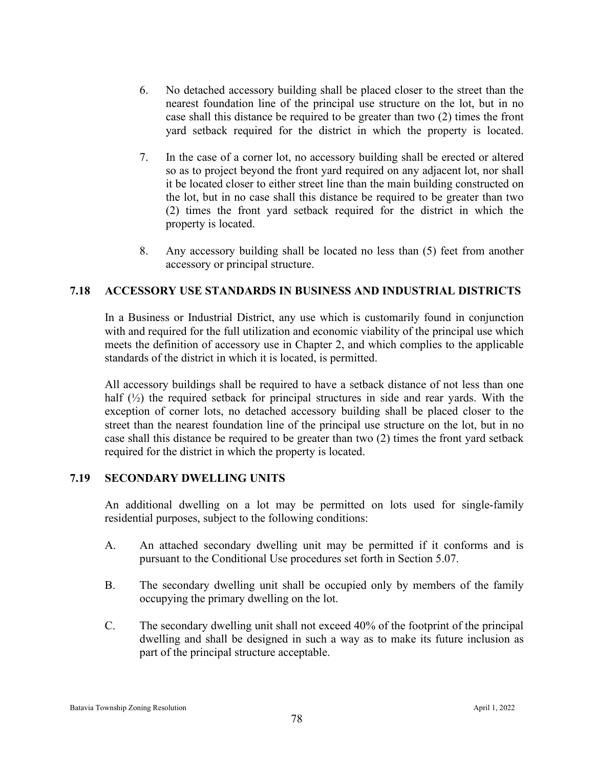- 6. No detached accessory building shall be placed closer to the street than the nearest foundation line of the principal use structure on the lot, but in no case shall this distance be required to be greater than two (2) times the front yard setback required for the district in which the property is located.
- 7. In the case of a corner lot, no accessory building shall be erected or altered so as to project beyond the front yard required on any adjacent lot, nor shall it be located closer to either street line than the main building constructed on the lot, but in no case shall this distance be required to be greater than two (2) times the front yard setback required for the district in which the property is located.
- 8. Any accessory building shall be located no less than (5) feet from another accessory or principal structure.

#### **7.18 ACCESSORY USE STANDARDS IN BUSINESS AND INDUSTRIAL DISTRICTS**

In a Business or Industrial District, any use which is customarily found in conjunction with and required for the full utilization and economic viability of the principal use which meets the definition of accessory use in Chapter 2, and which complies to the applicable standards of the district in which it is located, is permitted.

All accessory buildings shall be required to have a setback distance of not less than one half  $(\frac{1}{2})$  the required setback for principal structures in side and rear yards. With the exception of corner lots, no detached accessory building shall be placed closer to the street than the nearest foundation line of the principal use structure on the lot, but in no case shall this distance be required to be greater than two (2) times the front yard setback required for the district in which the property is located.

#### **7.19 SECONDARY DWELLING UNITS**

An additional dwelling on a lot may be permitted on lots used for single-family residential purposes, subject to the following conditions:

- A. An attached secondary dwelling unit may be permitted if it conforms and is pursuant to the Conditional Use procedures set forth in Section 5.07.
- B. The secondary dwelling unit shall be occupied only by members of the family occupying the primary dwelling on the lot.
- C. The secondary dwelling unit shall not exceed 40% of the footprint of the principal dwelling and shall be designed in such a way as to make its future inclusion as part of the principal structure acceptable.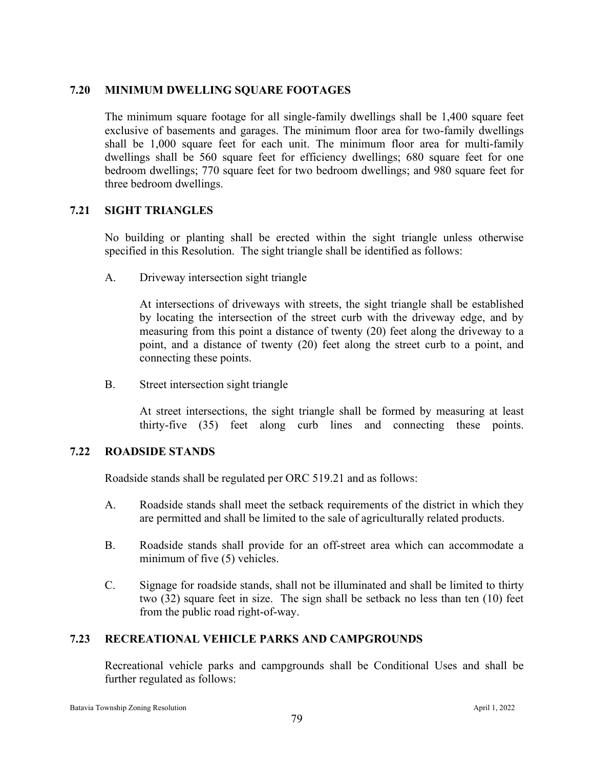#### **7.20 MINIMUM DWELLING SQUARE FOOTAGES**

The minimum square footage for all single-family dwellings shall be 1,400 square feet exclusive of basements and garages. The minimum floor area for two-family dwellings shall be 1,000 square feet for each unit. The minimum floor area for multi-family dwellings shall be 560 square feet for efficiency dwellings; 680 square feet for one bedroom dwellings; 770 square feet for two bedroom dwellings; and 980 square feet for three bedroom dwellings.

## **7.21 SIGHT TRIANGLES**

No building or planting shall be erected within the sight triangle unless otherwise specified in this Resolution. The sight triangle shall be identified as follows:

A. Driveway intersection sight triangle

At intersections of driveways with streets, the sight triangle shall be established by locating the intersection of the street curb with the driveway edge, and by measuring from this point a distance of twenty (20) feet along the driveway to a point, and a distance of twenty (20) feet along the street curb to a point, and connecting these points.

B. Street intersection sight triangle

At street intersections, the sight triangle shall be formed by measuring at least thirty-five (35) feet along curb lines and connecting these points.

#### **7.22 ROADSIDE STANDS**

Roadside stands shall be regulated per ORC 519.21 and as follows:

- A. Roadside stands shall meet the setback requirements of the district in which they are permitted and shall be limited to the sale of agriculturally related products.
- B. Roadside stands shall provide for an off-street area which can accommodate a minimum of five (5) vehicles.
- C. Signage for roadside stands, shall not be illuminated and shall be limited to thirty two (32) square feet in size. The sign shall be setback no less than ten (10) feet from the public road right-of-way.

## **7.23 RECREATIONAL VEHICLE PARKS AND CAMPGROUNDS**

Recreational vehicle parks and campgrounds shall be Conditional Uses and shall be further regulated as follows: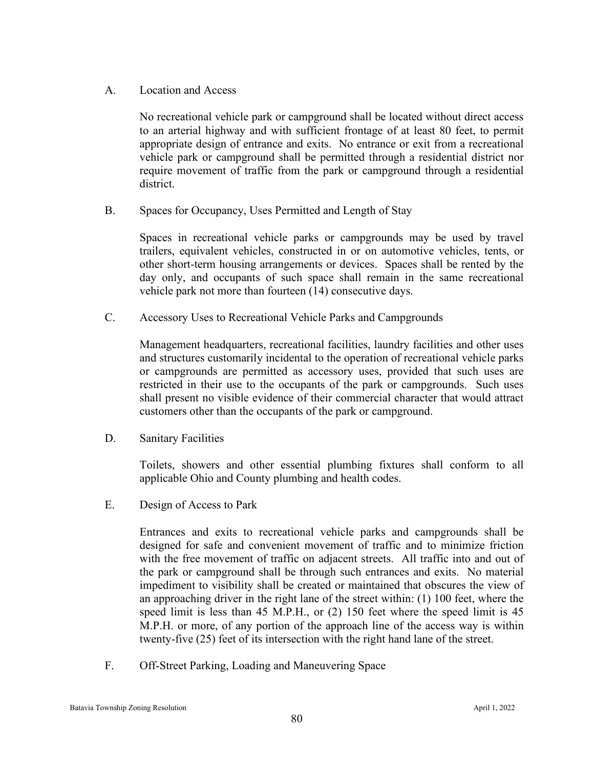A. Location and Access

No recreational vehicle park or campground shall be located without direct access to an arterial highway and with sufficient frontage of at least 80 feet, to permit appropriate design of entrance and exits. No entrance or exit from a recreational vehicle park or campground shall be permitted through a residential district nor require movement of traffic from the park or campground through a residential district.

B. Spaces for Occupancy, Uses Permitted and Length of Stay

Spaces in recreational vehicle parks or campgrounds may be used by travel trailers, equivalent vehicles, constructed in or on automotive vehicles, tents, or other short-term housing arrangements or devices. Spaces shall be rented by the day only, and occupants of such space shall remain in the same recreational vehicle park not more than fourteen (14) consecutive days.

C. Accessory Uses to Recreational Vehicle Parks and Campgrounds

Management headquarters, recreational facilities, laundry facilities and other uses and structures customarily incidental to the operation of recreational vehicle parks or campgrounds are permitted as accessory uses, provided that such uses are restricted in their use to the occupants of the park or campgrounds. Such uses shall present no visible evidence of their commercial character that would attract customers other than the occupants of the park or campground.

D. Sanitary Facilities

Toilets, showers and other essential plumbing fixtures shall conform to all applicable Ohio and County plumbing and health codes.

E. Design of Access to Park

Entrances and exits to recreational vehicle parks and campgrounds shall be designed for safe and convenient movement of traffic and to minimize friction with the free movement of traffic on adjacent streets. All traffic into and out of the park or campground shall be through such entrances and exits. No material impediment to visibility shall be created or maintained that obscures the view of an approaching driver in the right lane of the street within: (1) 100 feet, where the speed limit is less than 45 M.P.H., or (2) 150 feet where the speed limit is 45 M.P.H. or more, of any portion of the approach line of the access way is within twenty-five (25) feet of its intersection with the right hand lane of the street.

F. Off-Street Parking, Loading and Maneuvering Space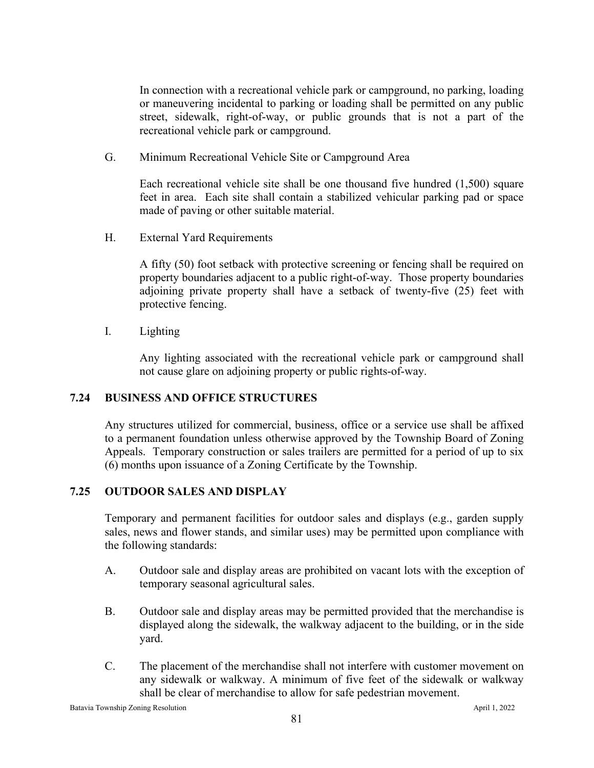In connection with a recreational vehicle park or campground, no parking, loading or maneuvering incidental to parking or loading shall be permitted on any public street, sidewalk, right-of-way, or public grounds that is not a part of the recreational vehicle park or campground.

G. Minimum Recreational Vehicle Site or Campground Area

Each recreational vehicle site shall be one thousand five hundred (1,500) square feet in area. Each site shall contain a stabilized vehicular parking pad or space made of paving or other suitable material.

H. External Yard Requirements

A fifty (50) foot setback with protective screening or fencing shall be required on property boundaries adjacent to a public right-of-way. Those property boundaries adjoining private property shall have a setback of twenty-five (25) feet with protective fencing.

I. Lighting

Any lighting associated with the recreational vehicle park or campground shall not cause glare on adjoining property or public rights-of-way.

# **7.24 BUSINESS AND OFFICE STRUCTURES**

Any structures utilized for commercial, business, office or a service use shall be affixed to a permanent foundation unless otherwise approved by the Township Board of Zoning Appeals. Temporary construction or sales trailers are permitted for a period of up to six (6) months upon issuance of a Zoning Certificate by the Township.

# **7.25 OUTDOOR SALES AND DISPLAY**

Temporary and permanent facilities for outdoor sales and displays (e.g., garden supply sales, news and flower stands, and similar uses) may be permitted upon compliance with the following standards:

- A. Outdoor sale and display areas are prohibited on vacant lots with the exception of temporary seasonal agricultural sales.
- B. Outdoor sale and display areas may be permitted provided that the merchandise is displayed along the sidewalk, the walkway adjacent to the building, or in the side yard.
- C. The placement of the merchandise shall not interfere with customer movement on any sidewalk or walkway. A minimum of five feet of the sidewalk or walkway shall be clear of merchandise to allow for safe pedestrian movement.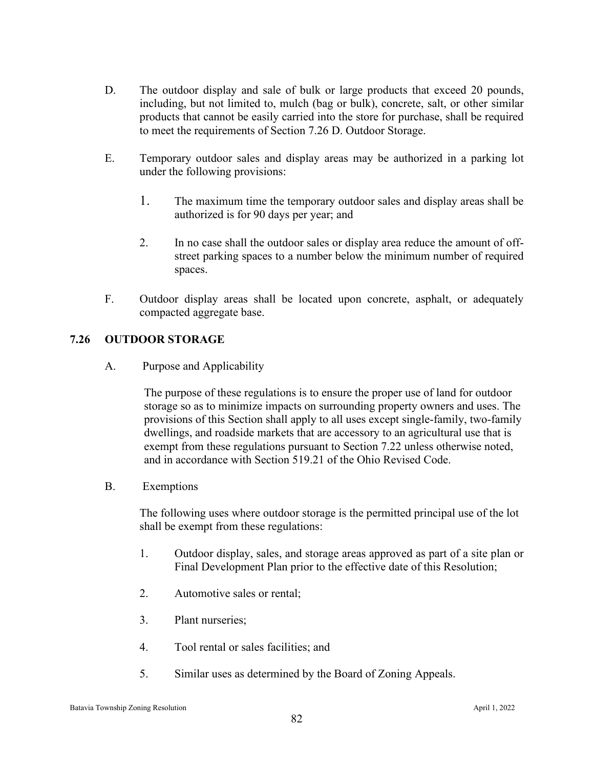- D. The outdoor display and sale of bulk or large products that exceed 20 pounds, including, but not limited to, mulch (bag or bulk), concrete, salt, or other similar products that cannot be easily carried into the store for purchase, shall be required to meet the requirements of Section 7.26 D. Outdoor Storage.
- E. Temporary outdoor sales and display areas may be authorized in a parking lot under the following provisions:
	- 1. The maximum time the temporary outdoor sales and display areas shall be authorized is for 90 days per year; and
	- 2. In no case shall the outdoor sales or display area reduce the amount of offstreet parking spaces to a number below the minimum number of required spaces.
- F. Outdoor display areas shall be located upon concrete, asphalt, or adequately compacted aggregate base.

## **7.26 OUTDOOR STORAGE**

A. Purpose and Applicability

The purpose of these regulations is to ensure the proper use of land for outdoor storage so as to minimize impacts on surrounding property owners and uses. The provisions of this Section shall apply to all uses except single-family, two-family dwellings, and roadside markets that are accessory to an agricultural use that is exempt from these regulations pursuant to Section 7.22 unless otherwise noted, and in accordance with Section 519.21 of the Ohio Revised Code.

B. Exemptions

The following uses where outdoor storage is the permitted principal use of the lot shall be exempt from these regulations:

- 1. Outdoor display, sales, and storage areas approved as part of a site plan or Final Development Plan prior to the effective date of this Resolution;
- 2. Automotive sales or rental;
- 3. Plant nurseries;
- 4. Tool rental or sales facilities; and
- 5. Similar uses as determined by the Board of Zoning Appeals.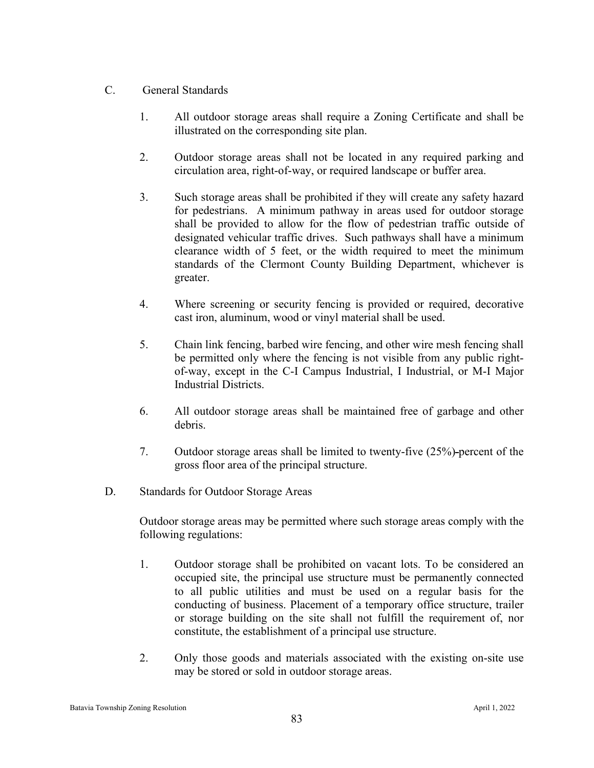## C. General Standards

- 1. All outdoor storage areas shall require a Zoning Certificate and shall be illustrated on the corresponding site plan.
- 2. Outdoor storage areas shall not be located in any required parking and circulation area, right-of-way, or required landscape or buffer area.
- 3. Such storage areas shall be prohibited if they will create any safety hazard for pedestrians. A minimum pathway in areas used for outdoor storage shall be provided to allow for the flow of pedestrian traffic outside of designated vehicular traffic drives. Such pathways shall have a minimum clearance width of 5 feet, or the width required to meet the minimum standards of the Clermont County Building Department, whichever is greater.
- 4. Where screening or security fencing is provided or required, decorative cast iron, aluminum, wood or vinyl material shall be used.
- 5. Chain link fencing, barbed wire fencing, and other wire mesh fencing shall be permitted only where the fencing is not visible from any public rightof-way, except in the C-I Campus Industrial, I Industrial, or M-I Major Industrial Districts.
- 6. All outdoor storage areas shall be maintained free of garbage and other debris.
- 7. Outdoor storage areas shall be limited to twenty-five (25%) percent of the gross floor area of the principal structure.
- D. Standards for Outdoor Storage Areas

Outdoor storage areas may be permitted where such storage areas comply with the following regulations:

- 1. Outdoor storage shall be prohibited on vacant lots. To be considered an occupied site, the principal use structure must be permanently connected to all public utilities and must be used on a regular basis for the conducting of business. Placement of a temporary office structure, trailer or storage building on the site shall not fulfill the requirement of, nor constitute, the establishment of a principal use structure.
- 2. Only those goods and materials associated with the existing on-site use may be stored or sold in outdoor storage areas.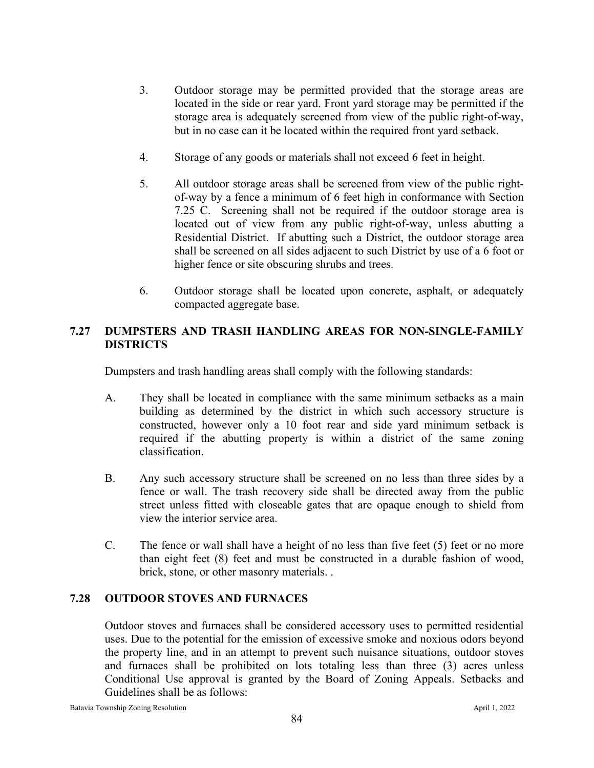- 3. Outdoor storage may be permitted provided that the storage areas are located in the side or rear yard. Front yard storage may be permitted if the storage area is adequately screened from view of the public right-of-way, but in no case can it be located within the required front yard setback.
- 4. Storage of any goods or materials shall not exceed 6 feet in height.
- 5. All outdoor storage areas shall be screened from view of the public rightof-way by a fence a minimum of 6 feet high in conformance with Section 7.25 C. Screening shall not be required if the outdoor storage area is located out of view from any public right-of-way, unless abutting a Residential District. If abutting such a District, the outdoor storage area shall be screened on all sides adjacent to such District by use of a 6 foot or higher fence or site obscuring shrubs and trees.
- 6. Outdoor storage shall be located upon concrete, asphalt, or adequately compacted aggregate base.

# **7.27 DUMPSTERS AND TRASH HANDLING AREAS FOR NON-SINGLE-FAMILY DISTRICTS**

Dumpsters and trash handling areas shall comply with the following standards:

- A. They shall be located in compliance with the same minimum setbacks as a main building as determined by the district in which such accessory structure is constructed, however only a 10 foot rear and side yard minimum setback is required if the abutting property is within a district of the same zoning classification.
- B. Any such accessory structure shall be screened on no less than three sides by a fence or wall. The trash recovery side shall be directed away from the public street unless fitted with closeable gates that are opaque enough to shield from view the interior service area.
- C. The fence or wall shall have a height of no less than five feet (5) feet or no more than eight feet (8) feet and must be constructed in a durable fashion of wood, brick, stone, or other masonry materials. .

## **7.28 OUTDOOR STOVES AND FURNACES**

Outdoor stoves and furnaces shall be considered accessory uses to permitted residential uses. Due to the potential for the emission of excessive smoke and noxious odors beyond the property line, and in an attempt to prevent such nuisance situations, outdoor stoves and furnaces shall be prohibited on lots totaling less than three (3) acres unless Conditional Use approval is granted by the Board of Zoning Appeals. Setbacks and Guidelines shall be as follows: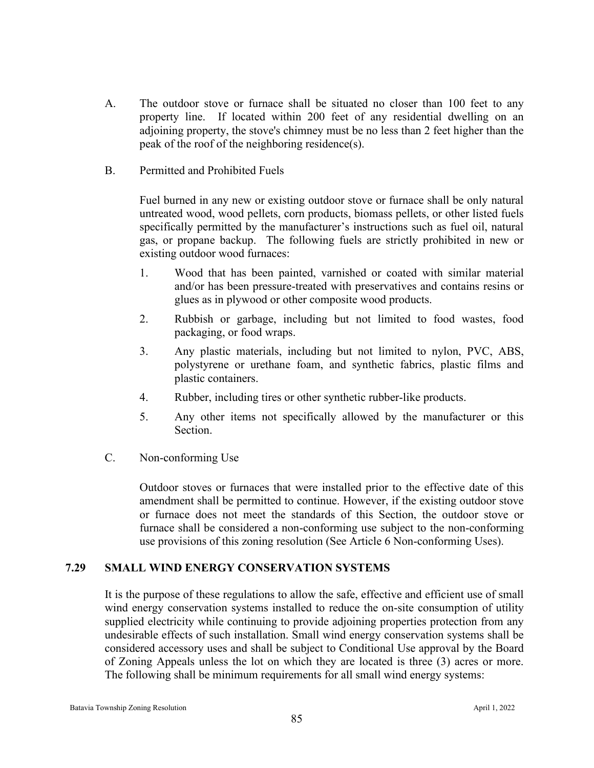- A. The outdoor stove or furnace shall be situated no closer than 100 feet to any property line. If located within 200 feet of any residential dwelling on an adjoining property, the stove's chimney must be no less than 2 feet higher than the peak of the roof of the neighboring residence(s).
- B. Permitted and Prohibited Fuels

Fuel burned in any new or existing outdoor stove or furnace shall be only natural untreated wood, wood pellets, corn products, biomass pellets, or other listed fuels specifically permitted by the manufacturer's instructions such as fuel oil, natural gas, or propane backup. The following fuels are strictly prohibited in new or existing outdoor wood furnaces:

- 1. Wood that has been painted, varnished or coated with similar material and/or has been pressure-treated with preservatives and contains resins or glues as in plywood or other composite wood products.
- 2. Rubbish or garbage, including but not limited to food wastes, food packaging, or food wraps.
- 3. Any plastic materials, including but not limited to nylon, PVC, ABS, polystyrene or urethane foam, and synthetic fabrics, plastic films and plastic containers.
- 4. Rubber, including tires or other synthetic rubber-like products.
- 5. Any other items not specifically allowed by the manufacturer or this Section.
- C. Non-conforming Use

Outdoor stoves or furnaces that were installed prior to the effective date of this amendment shall be permitted to continue. However, if the existing outdoor stove or furnace does not meet the standards of this Section, the outdoor stove or furnace shall be considered a non-conforming use subject to the non-conforming use provisions of this zoning resolution (See Article 6 Non-conforming Uses).

## **7.29 SMALL WIND ENERGY CONSERVATION SYSTEMS**

It is the purpose of these regulations to allow the safe, effective and efficient use of small wind energy conservation systems installed to reduce the on-site consumption of utility supplied electricity while continuing to provide adjoining properties protection from any undesirable effects of such installation. Small wind energy conservation systems shall be considered accessory uses and shall be subject to Conditional Use approval by the Board of Zoning Appeals unless the lot on which they are located is three (3) acres or more. The following shall be minimum requirements for all small wind energy systems: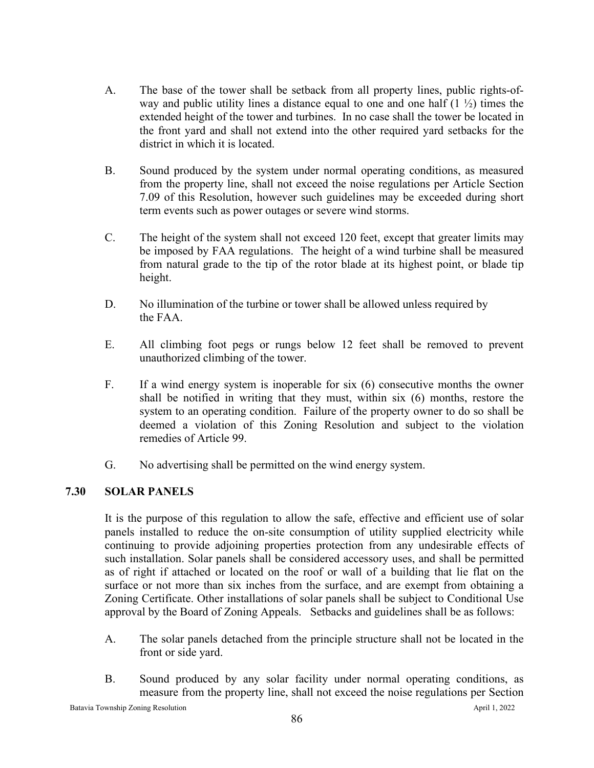- A. The base of the tower shall be setback from all property lines, public rights-ofway and public utility lines a distance equal to one and one half  $(1 \frac{1}{2})$  times the extended height of the tower and turbines. In no case shall the tower be located in the front yard and shall not extend into the other required yard setbacks for the district in which it is located.
- B. Sound produced by the system under normal operating conditions, as measured from the property line, shall not exceed the noise regulations per Article Section 7.09 of this Resolution, however such guidelines may be exceeded during short term events such as power outages or severe wind storms.
- C. The height of the system shall not exceed 120 feet, except that greater limits may be imposed by FAA regulations. The height of a wind turbine shall be measured from natural grade to the tip of the rotor blade at its highest point, or blade tip height.
- D. No illumination of the turbine or tower shall be allowed unless required by the FAA.
- E. All climbing foot pegs or rungs below 12 feet shall be removed to prevent unauthorized climbing of the tower.
- F. If a wind energy system is inoperable for six (6) consecutive months the owner shall be notified in writing that they must, within six (6) months, restore the system to an operating condition. Failure of the property owner to do so shall be deemed a violation of this Zoning Resolution and subject to the violation remedies of Article 99.
- G. No advertising shall be permitted on the wind energy system.

# **7.30 SOLAR PANELS**

It is the purpose of this regulation to allow the safe, effective and efficient use of solar panels installed to reduce the on-site consumption of utility supplied electricity while continuing to provide adjoining properties protection from any undesirable effects of such installation. Solar panels shall be considered accessory uses, and shall be permitted as of right if attached or located on the roof or wall of a building that lie flat on the surface or not more than six inches from the surface, and are exempt from obtaining a Zoning Certificate. Other installations of solar panels shall be subject to Conditional Use approval by the Board of Zoning Appeals. Setbacks and guidelines shall be as follows:

- A. The solar panels detached from the principle structure shall not be located in the front or side yard.
- B. Sound produced by any solar facility under normal operating conditions, as measure from the property line, shall not exceed the noise regulations per Section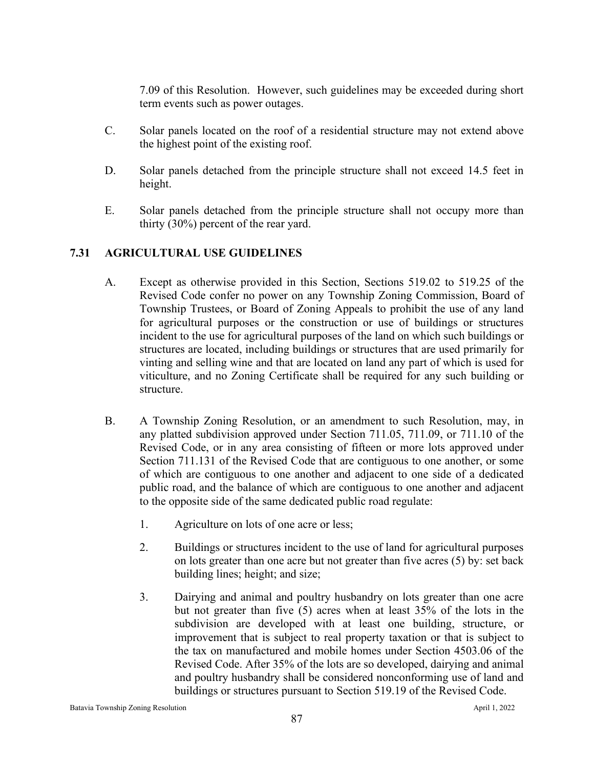7.09 of this Resolution. However, such guidelines may be exceeded during short term events such as power outages.

- C. Solar panels located on the roof of a residential structure may not extend above the highest point of the existing roof.
- D. Solar panels detached from the principle structure shall not exceed 14.5 feet in height.
- E. Solar panels detached from the principle structure shall not occupy more than thirty (30%) percent of the rear yard.

## **7.31 AGRICULTURAL USE GUIDELINES**

- A. Except as otherwise provided in this Section, Sections 519.02 to 519.25 of the Revised Code confer no power on any Township Zoning Commission, Board of Township Trustees, or Board of Zoning Appeals to prohibit the use of any land for agricultural purposes or the construction or use of buildings or structures incident to the use for agricultural purposes of the land on which such buildings or structures are located, including buildings or structures that are used primarily for vinting and selling wine and that are located on land any part of which is used for viticulture, and no Zoning Certificate shall be required for any such building or structure.
- B. A Township Zoning Resolution, or an amendment to such Resolution, may, in any platted subdivision approved under Section 711.05, 711.09, or 711.10 of the Revised Code, or in any area consisting of fifteen or more lots approved under Section 711.131 of the Revised Code that are contiguous to one another, or some of which are contiguous to one another and adjacent to one side of a dedicated public road, and the balance of which are contiguous to one another and adjacent to the opposite side of the same dedicated public road regulate:
	- 1. Agriculture on lots of one acre or less;
	- 2. Buildings or structures incident to the use of land for agricultural purposes on lots greater than one acre but not greater than five acres (5) by: set back building lines; height; and size;
	- 3. Dairying and animal and poultry husbandry on lots greater than one acre but not greater than five (5) acres when at least 35% of the lots in the subdivision are developed with at least one building, structure, or improvement that is subject to real property taxation or that is subject to the tax on manufactured and mobile homes under Section 4503.06 of the Revised Code. After 35% of the lots are so developed, dairying and animal and poultry husbandry shall be considered nonconforming use of land and buildings or structures pursuant to Section 519.19 of the Revised Code.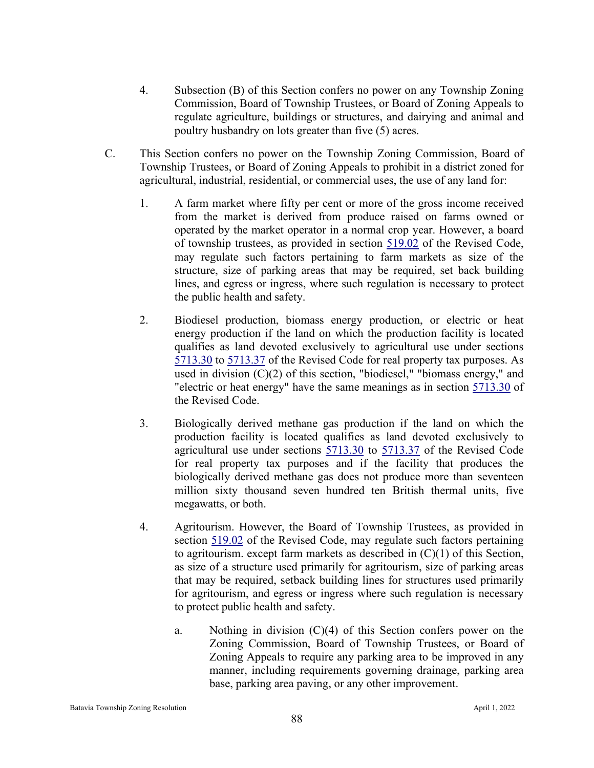- 4. Subsection (B) of this Section confers no power on any Township Zoning Commission, Board of Township Trustees, or Board of Zoning Appeals to regulate agriculture, buildings or structures, and dairying and animal and poultry husbandry on lots greater than five (5) acres.
- C. This Section confers no power on the Township Zoning Commission, Board of Township Trustees, or Board of Zoning Appeals to prohibit in a district zoned for agricultural, industrial, residential, or commercial uses, the use of any land for:
	- 1. A farm market where fifty per cent or more of the gross income received from the market is derived from produce raised on farms owned or operated by the market operator in a normal crop year. However, a board of township trustees, as provided in section [519.02](http://codes.ohio.gov/orc/519.02) of the Revised Code, may regulate such factors pertaining to farm markets as size of the structure, size of parking areas that may be required, set back building lines, and egress or ingress, where such regulation is necessary to protect the public health and safety.
	- 2. Biodiesel production, biomass energy production, or electric or heat energy production if the land on which the production facility is located qualifies as land devoted exclusively to agricultural use under sections [5713.30](http://codes.ohio.gov/orc/5713.30) to [5713.37](http://codes.ohio.gov/orc/5713.37) of the Revised Code for real property tax purposes. As used in division (C)(2) of this section, "biodiesel," "biomass energy," and "electric or heat energy" have the same meanings as in section [5713.30](http://codes.ohio.gov/orc/5713.30) of the Revised Code.
	- 3. Biologically derived methane gas production if the land on which the production facility is located qualifies as land devoted exclusively to agricultural use under sections [5713.30](http://codes.ohio.gov/orc/5713.30) to [5713.37](http://codes.ohio.gov/orc/5713.37) of the Revised Code for real property tax purposes and if the facility that produces the biologically derived methane gas does not produce more than seventeen million sixty thousand seven hundred ten British thermal units, five megawatts, or both.
	- 4. Agritourism. However, the Board of Township Trustees, as provided in section [519.02](http://codes.ohio.gov/orc/519.02) of the Revised Code, may regulate such factors pertaining to agritourism. except farm markets as described in  $(C)(1)$  of this Section, as size of a structure used primarily for agritourism, size of parking areas that may be required, setback building lines for structures used primarily for agritourism, and egress or ingress where such regulation is necessary to protect public health and safety.
		- a. Nothing in division (C)(4) of this Section confers power on the Zoning Commission, Board of Township Trustees, or Board of Zoning Appeals to require any parking area to be improved in any manner, including requirements governing drainage, parking area base, parking area paving, or any other improvement.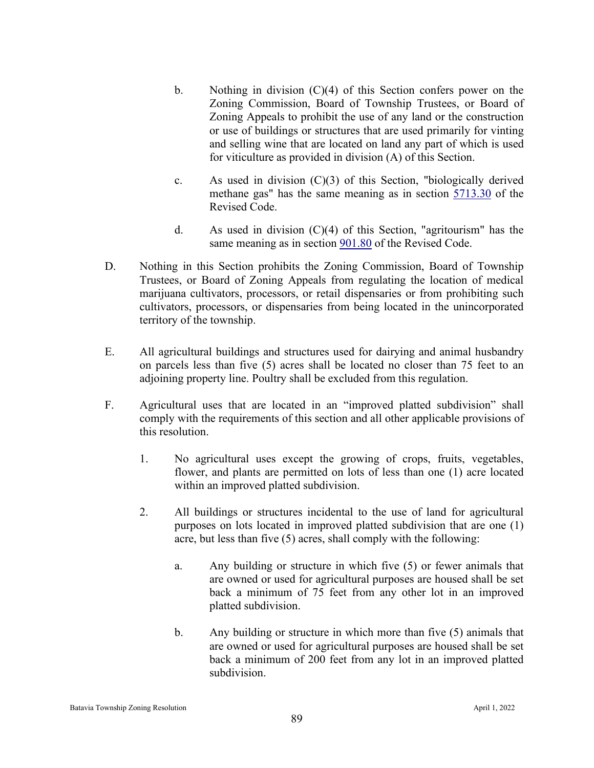- b. Nothing in division (C)(4) of this Section confers power on the Zoning Commission, Board of Township Trustees, or Board of Zoning Appeals to prohibit the use of any land or the construction or use of buildings or structures that are used primarily for vinting and selling wine that are located on land any part of which is used for viticulture as provided in division (A) of this Section.
- c. As used in division (C)(3) of this Section, "biologically derived methane gas" has the same meaning as in section [5713.30](http://codes.ohio.gov/orc/5713.30) of the Revised Code.
- d. As used in division (C)(4) of this Section, "agritourism" has the same meaning as in section  $901.80$  of the Revised Code.
- D. Nothing in this Section prohibits the Zoning Commission, Board of Township Trustees, or Board of Zoning Appeals from regulating the location of medical marijuana cultivators, processors, or retail dispensaries or from prohibiting such cultivators, processors, or dispensaries from being located in the unincorporated territory of the township.
- E. All agricultural buildings and structures used for dairying and animal husbandry on parcels less than five (5) acres shall be located no closer than 75 feet to an adjoining property line. Poultry shall be excluded from this regulation.
- F. Agricultural uses that are located in an "improved platted subdivision" shall comply with the requirements of this section and all other applicable provisions of this resolution.
	- 1. No agricultural uses except the growing of crops, fruits, vegetables, flower, and plants are permitted on lots of less than one (1) acre located within an improved platted subdivision.
	- 2. All buildings or structures incidental to the use of land for agricultural purposes on lots located in improved platted subdivision that are one (1) acre, but less than five (5) acres, shall comply with the following:
		- a. Any building or structure in which five (5) or fewer animals that are owned or used for agricultural purposes are housed shall be set back a minimum of 75 feet from any other lot in an improved platted subdivision.
		- b. Any building or structure in which more than five (5) animals that are owned or used for agricultural purposes are housed shall be set back a minimum of 200 feet from any lot in an improved platted subdivision.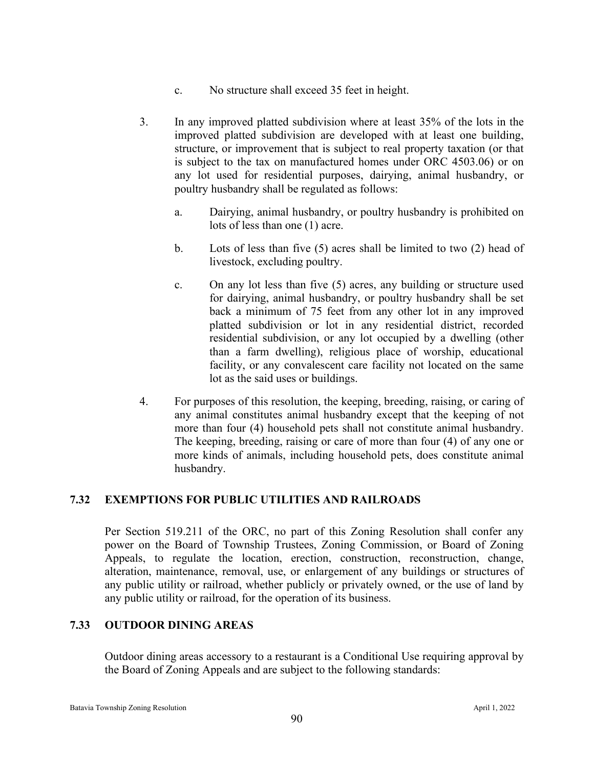- c. No structure shall exceed 35 feet in height.
- 3. In any improved platted subdivision where at least 35% of the lots in the improved platted subdivision are developed with at least one building, structure, or improvement that is subject to real property taxation (or that is subject to the tax on manufactured homes under ORC 4503.06) or on any lot used for residential purposes, dairying, animal husbandry, or poultry husbandry shall be regulated as follows:
	- a. Dairying, animal husbandry, or poultry husbandry is prohibited on lots of less than one (1) acre.
	- b. Lots of less than five (5) acres shall be limited to two (2) head of livestock, excluding poultry.
	- c. On any lot less than five (5) acres, any building or structure used for dairying, animal husbandry, or poultry husbandry shall be set back a minimum of 75 feet from any other lot in any improved platted subdivision or lot in any residential district, recorded residential subdivision, or any lot occupied by a dwelling (other than a farm dwelling), religious place of worship, educational facility, or any convalescent care facility not located on the same lot as the said uses or buildings.
- 4. For purposes of this resolution, the keeping, breeding, raising, or caring of any animal constitutes animal husbandry except that the keeping of not more than four (4) household pets shall not constitute animal husbandry. The keeping, breeding, raising or care of more than four (4) of any one or more kinds of animals, including household pets, does constitute animal husbandry.

## **7.32 EXEMPTIONS FOR PUBLIC UTILITIES AND RAILROADS**

Per Section 519.211 of the ORC, no part of this Zoning Resolution shall confer any power on the Board of Township Trustees, Zoning Commission, or Board of Zoning Appeals, to regulate the location, erection, construction, reconstruction, change, alteration, maintenance, removal, use, or enlargement of any buildings or structures of any public utility or railroad, whether publicly or privately owned, or the use of land by any public utility or railroad, for the operation of its business.

## **7.33 OUTDOOR DINING AREAS**

Outdoor dining areas accessory to a restaurant is a Conditional Use requiring approval by the Board of Zoning Appeals and are subject to the following standards: